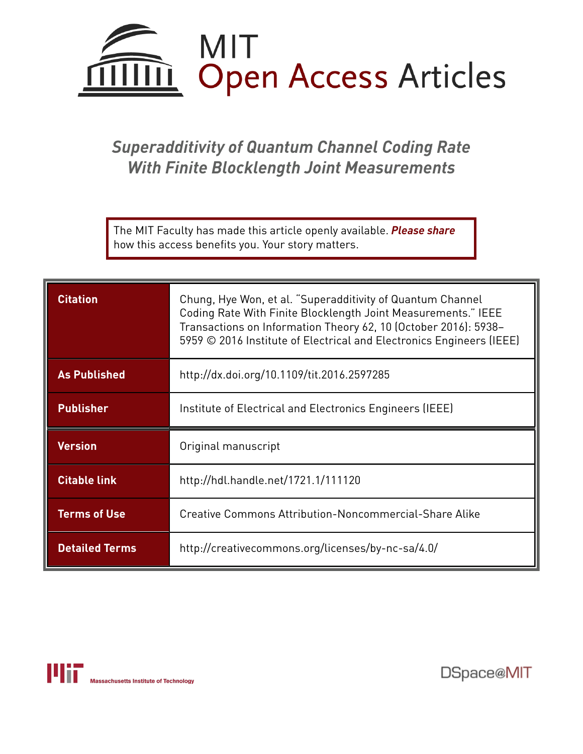

## *Superadditivity of Quantum Channel Coding Rate With Finite Blocklength Joint Measurements*

The MIT Faculty has made this article openly available. *[Please](https://libraries.mit.edu/forms/dspace-oa-articles.html) share* how this access benefits you. Your story matters.

| <b>Citation</b>     | Chung, Hye Won, et al. "Superadditivity of Quantum Channel<br>Coding Rate With Finite Blocklength Joint Measurements." IEEE<br>Transactions on Information Theory 62, 10 (October 2016): 5938-<br>5959 © 2016 Institute of Electrical and Electronics Engineers (IEEE) |
|---------------------|------------------------------------------------------------------------------------------------------------------------------------------------------------------------------------------------------------------------------------------------------------------------|
| <b>As Published</b> | http://dx.doi.org/10.1109/tit.2016.2597285                                                                                                                                                                                                                             |
| <b>Publisher</b>    | Institute of Electrical and Electronics Engineers (IEEE)                                                                                                                                                                                                               |
|                     |                                                                                                                                                                                                                                                                        |
| <b>Version</b>      | Original manuscript                                                                                                                                                                                                                                                    |
| <b>Citable link</b> | http://hdl.handle.net/1721.1/111120                                                                                                                                                                                                                                    |
| <b>Terms of Use</b> | Creative Commons Attribution-Noncommercial-Share Alike                                                                                                                                                                                                                 |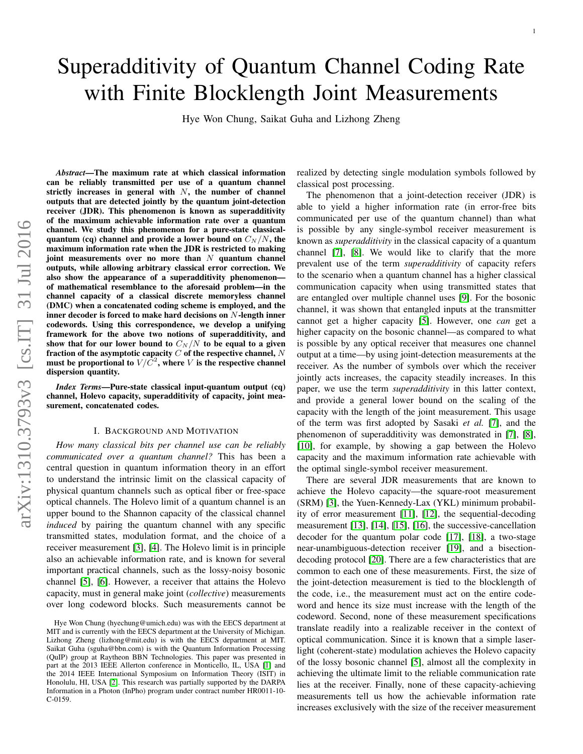# Superadditivity of Quantum Channel Coding Rate with Finite Blocklength Joint Measurements

Hye Won Chung, Saikat Guha and Lizhong Zheng

*Abstract*—The maximum rate at which classical information can be reliably transmitted per use of a quantum channel strictly increases in general with  $N$ , the number of channel outputs that are detected jointly by the quantum joint-detection receiver (JDR). This phenomenon is known as superadditivity of the maximum achievable information rate over a quantum channel. We study this phenomenon for a pure-state classicalquantum (cq) channel and provide a lower bound on  $C_N/N$ , the maximum information rate when the JDR is restricted to making joint measurements over no more than  $N$  quantum channel outputs, while allowing arbitrary classical error correction. We also show the appearance of a superadditivity phenomenon of mathematical resemblance to the aforesaid problem—in the channel capacity of a classical discrete memoryless channel (DMC) when a concatenated coding scheme is employed, and the inner decoder is forced to make hard decisions on  $N$ -length inner codewords. Using this correspondence, we develop a unifying framework for the above two notions of superadditivity, and show that for our lower bound to  $C_N/N$  to be equal to a given fraction of the asymptotic capacity  $C$  of the respective channel,  $N$ must be proportional to  $V/\bar{C}^2$ , where V is the respective channel dispersion quantity.

*Index Terms*—Pure-state classical input-quantum output (cq) channel, Holevo capacity, superadditivity of capacity, joint measurement, concatenated codes.

#### I. BACKGROUND AND MOTIVATION

*How many classical bits per channel use can be reliably communicated over a quantum channel?* This has been a central question in quantum information theory in an effort to understand the intrinsic limit on the classical capacity of physical quantum channels such as optical fiber or free-space optical channels. The Holevo limit of a quantum channel is an upper bound to the Shannon capacity of the classical channel *induced* by pairing the quantum channel with any specific transmitted states, modulation format, and the choice of a receiver measurement [\[3\]](#page-21-0), [\[4\]](#page-21-1). The Holevo limit is in principle also an achievable information rate, and is known for several important practical channels, such as the lossy-noisy bosonic channel [\[5\]](#page-21-2), [\[6\]](#page-21-3). However, a receiver that attains the Holevo capacity, must in general make joint (*collective*) measurements over long codeword blocks. Such measurements cannot be realized by detecting single modulation symbols followed by classical post processing.

1

The phenomenon that a joint-detection receiver (JDR) is able to yield a higher information rate (in error-free bits communicated per use of the quantum channel) than what is possible by any single-symbol receiver measurement is known as *superadditivity* in the classical capacity of a quantum channel [\[7\]](#page-21-6), [\[8\]](#page-21-7). We would like to clarify that the more prevalent use of the term *superadditivity* of capacity refers to the scenario when a quantum channel has a higher classical communication capacity when using transmitted states that are entangled over multiple channel uses [\[9\]](#page-21-8). For the bosonic channel, it was shown that entangled inputs at the transmitter cannot get a higher capacity [\[5\]](#page-21-2). However, one *can* get a higher capacity on the bosonic channel—as compared to what is possible by any optical receiver that measures one channel output at a time—by using joint-detection measurements at the receiver. As the number of symbols over which the receiver jointly acts increases, the capacity steadily increases. In this paper, we use the term *superadditivity* in this latter context, and provide a general lower bound on the scaling of the capacity with the length of the joint measurement. This usage of the term was first adopted by Sasaki *et al.* [\[7\]](#page-21-6), and the phenomenon of superadditivity was demonstrated in [\[7\]](#page-21-6), [\[8\]](#page-21-7), [\[10\]](#page-21-9), for example, by showing a gap between the Holevo capacity and the maximum information rate achievable with the optimal single-symbol receiver measurement.

There are several JDR measurements that are known to achieve the Holevo capacity—the square-root measurement (SRM) [\[3\]](#page-21-0), the Yuen-Kennedy-Lax (YKL) minimum probability of error measurement [\[11\]](#page-21-10), [\[12\]](#page-21-11), the sequential-decoding measurement [\[13\]](#page-21-12), [\[14\]](#page-21-13), [\[15\]](#page-21-14), [\[16\]](#page-21-15), the successive-cancellation decoder for the quantum polar code [\[17\]](#page-21-16), [\[18\]](#page-21-17), a two-stage near-unambiguous-detection receiver [\[19\]](#page-21-18), and a bisectiondecoding protocol [\[20\]](#page-21-19). There are a few characteristics that are common to each one of these measurements. First, the size of the joint-detection measurement is tied to the blocklength of the code, i.e., the measurement must act on the entire codeword and hence its size must increase with the length of the codeword. Second, none of these measurement specifications translate readily into a realizable receiver in the context of optical communication. Since it is known that a simple laserlight (coherent-state) modulation achieves the Holevo capacity of the lossy bosonic channel [\[5\]](#page-21-2), almost all the complexity in achieving the ultimate limit to the reliable communication rate lies at the receiver. Finally, none of these capacity-achieving measurements tell us how the achievable information rate increases exclusively with the size of the receiver measurement

Hye Won Chung (hyechung@umich.edu) was with the EECS department at MIT and is currently with the EECS department at the University of Michigan. Lizhong Zheng (lizhong@mit.edu) is with the EECS department at MIT. Saikat Guha (sguha@bbn.com) is with the Quantum Information Processing (QuIP) group at Raytheon BBN Technologies. This paper was presented in part at the 2013 IEEE Allerton conference in Monticello, IL, USA [\[1\]](#page-21-4) and the 2014 IEEE International Symposium on Information Theory (ISIT) in Honolulu, HI, USA [\[2\]](#page-21-5). This research was partially supported by the DARPA Information in a Photon (InPho) program under contract number HR0011-10- C-0159.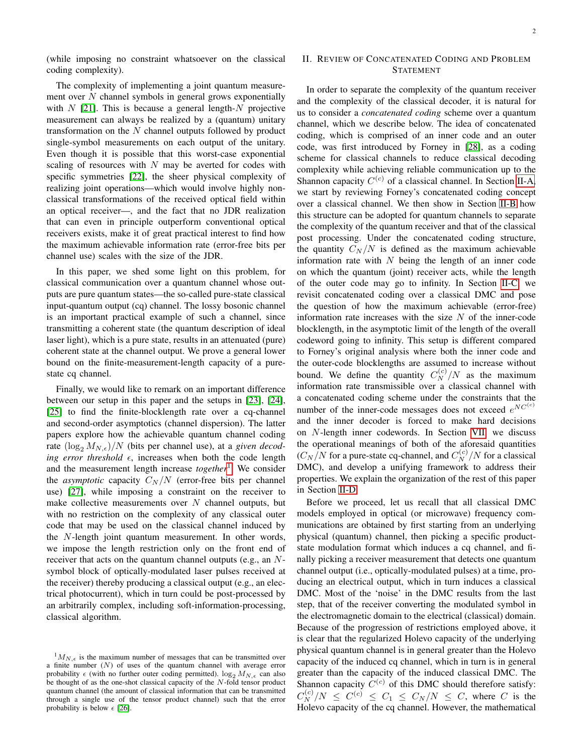(while imposing no constraint whatsoever on the classical coding complexity).

The complexity of implementing a joint quantum measurement over  $N$  channel symbols in general grows exponentially with  $N$  [\[21\]](#page-21-20). This is because a general length- $N$  projective measurement can always be realized by a (quantum) unitary transformation on the  $N$  channel outputs followed by product single-symbol measurements on each output of the unitary. Even though it is possible that this worst-case exponential scaling of resources with  $N$  may be averted for codes with specific symmetries [\[22\]](#page-21-21), the sheer physical complexity of realizing joint operations—which would involve highly nonclassical transformations of the received optical field within an optical receiver—, and the fact that no JDR realization that can even in principle outperform conventional optical receivers exists, make it of great practical interest to find how the maximum achievable information rate (error-free bits per channel use) scales with the size of the JDR.

In this paper, we shed some light on this problem, for classical communication over a quantum channel whose outputs are pure quantum states—the so-called pure-state classical input-quantum output (cq) channel. The lossy bosonic channel is an important practical example of such a channel, since transmitting a coherent state (the quantum description of ideal laser light), which is a pure state, results in an attenuated (pure) coherent state at the channel output. We prove a general lower bound on the finite-measurement-length capacity of a purestate cq channel.

Finally, we would like to remark on an important difference between our setup in this paper and the setups in [\[23\]](#page-21-22), [\[24\]](#page-21-23), [\[25\]](#page-22-0) to find the finite-blocklength rate over a cq-channel and second-order asymptotics (channel dispersion). The latter papers explore how the achievable quantum channel coding rate  $(\log_2 M_{N,\epsilon})/N$  (bits per channel use), at a *given decoding error threshold*  $\epsilon$ , increases when both the code length and the measurement length increase *together*[1](#page-2-0) . We consider the *asymptotic* capacity  $C_N/N$  (error-free bits per channel use) [\[27\]](#page-22-1), while imposing a constraint on the receiver to make collective measurements over  $N$  channel outputs, but with no restriction on the complexity of any classical outer code that may be used on the classical channel induced by the N-length joint quantum measurement. In other words, we impose the length restriction only on the front end of receiver that acts on the quantum channel outputs (e.g., an Nsymbol block of optically-modulated laser pulses received at the receiver) thereby producing a classical output (e.g., an electrical photocurrent), which in turn could be post-processed by an arbitrarily complex, including soft-information-processing, classical algorithm.

#### II. REVIEW OF CONCATENATED CODING AND PROBLEM STATEMENT

In order to separate the complexity of the quantum receiver and the complexity of the classical decoder, it is natural for us to consider a *concatenated coding* scheme over a quantum channel, which we describe below. The idea of concatenated coding, which is comprised of an inner code and an outer code, was first introduced by Forney in [\[28\]](#page-22-3), as a coding scheme for classical channels to reduce classical decoding complexity while achieving reliable communication up to the Shannon capacity  $C^{(c)}$  of a classical channel. In Section [II-A,](#page-3-0) we start by reviewing Forney's concatenated coding concept over a classical channel. We then show in Section [II-B](#page-3-1) how this structure can be adopted for quantum channels to separate the complexity of the quantum receiver and that of the classical post processing. Under the concatenated coding structure, the quantity  $C_N/N$  is defined as the maximum achievable information rate with  $N$  being the length of an inner code on which the quantum (joint) receiver acts, while the length of the outer code may go to infinity. In Section [II-C,](#page-5-0) we revisit concatenated coding over a classical DMC and pose the question of how the maximum achievable (error-free) information rate increases with the size  $N$  of the inner-code blocklength, in the asymptotic limit of the length of the overall codeword going to infinity. This setup is different compared to Forney's original analysis where both the inner code and the outer-code blocklengths are assumed to increase without bound. We define the quantity  $C_N^{(c)}/N$  as the maximum information rate transmissible over a classical channel with a concatenated coding scheme under the constraints that the number of the inner-code messages does not exceed  $e^{NC^{(c)}}$ and the inner decoder is forced to make hard decisions on N-length inner codewords. In Section [VII,](#page-12-0) we discuss the operational meanings of both of the aforesaid quantities  $(C_N/N$  for a pure-state cq-channel, and  $C_N^{(c)}/N$  for a classical DMC), and develop a unifying framework to address their properties. We explain the organization of the rest of this paper in Section [II-D.](#page-6-0)

Before we proceed, let us recall that all classical DMC models employed in optical (or microwave) frequency communications are obtained by first starting from an underlying physical (quantum) channel, then picking a specific productstate modulation format which induces a cq channel, and finally picking a receiver measurement that detects one quantum channel output (i.e., optically-modulated pulses) at a time, producing an electrical output, which in turn induces a classical DMC. Most of the 'noise' in the DMC results from the last step, that of the receiver converting the modulated symbol in the electromagnetic domain to the electrical (classical) domain. Because of the progression of restrictions employed above, it is clear that the regularized Holevo capacity of the underlying physical quantum channel is in general greater than the Holevo capacity of the induced cq channel, which in turn is in general greater than the capacity of the induced classical DMC. The Shannon capacity  $C^{(c)}$  of this DMC should therefore satisfy:  $C_N^{(c)}/N \leq C^{(c)} \leq C_1 \leq C_N/N \leq C$ , where C is the Holevo capacity of the cq channel. However, the mathematical

<span id="page-2-0"></span> $1_{M_{N,\epsilon}}$  is the maximum number of messages that can be transmitted over a finite number  $(N)$  of uses of the quantum channel with average error probability  $\epsilon$  (with no further outer coding permitted).  $\log_2 M_{N,\epsilon}$  can also be thought of as the one-shot classical capacity of the  $N$ -fold tensor product quantum channel (the amount of classical information that can be transmitted through a single use of the tensor product channel) such that the error probability is below  $\epsilon$  [\[26\]](#page-22-2).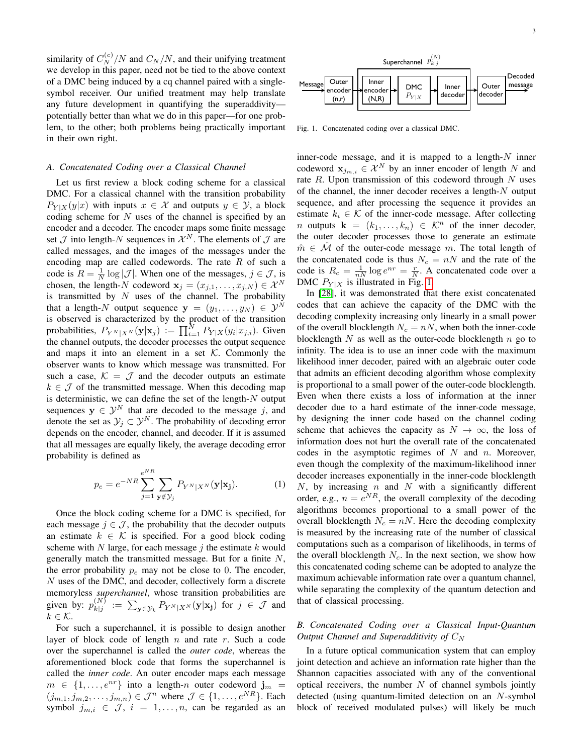similarity of  $C_N^{(c)}/N$  and  $C_N/N$ , and their unifying treatment we develop in this paper, need not be tied to the above context of a DMC being induced by a cq channel paired with a singlesymbol receiver. Our unified treatment may help translate any future development in quantifying the superaddivity potentially better than what we do in this paper—for one problem, to the other; both problems being practically important in their own right.

#### <span id="page-3-0"></span>*A. Concatenated Coding over a Classical Channel*

Let us first review a block coding scheme for a classical DMC. For a classical channel with the transition probability  $P_{Y|X}(y|x)$  with inputs  $x \in \mathcal{X}$  and outputs  $y \in \mathcal{Y}$ , a block coding scheme for  $N$  uses of the channel is specified by an encoder and a decoder. The encoder maps some finite message set  $\mathcal J$  into length- $N$  sequences in  $\mathcal X^N$ . The elements of  $\mathcal J$  are called messages, and the images of the messages under the encoding map are called codewords. The rate  $R$  of such a code is  $R = \frac{1}{N} \log |\mathcal{J}|$ . When one of the messages,  $j \in \mathcal{J}$ , is chosen, the length-N codeword  $\mathbf{x}_j = (x_{j,1}, \dots, x_{j,N}) \in \mathcal{X}^N$ is transmitted by  $N$  uses of the channel. The probability that a length-N output sequence  $y = (y_1, \dots, y_N) \in \mathcal{Y}^N$ is observed is characterized by the product of the transition probabilities,  $P_{Y^N|X^N}(\mathbf{y}|\mathbf{x}_j) := \prod_{i=1}^N P_{Y|X}(y_i|x_{j,i})$ . Given the channel outputs, the decoder processes the output sequence and maps it into an element in a set  $K$ . Commonly the observer wants to know which message was transmitted. For such a case,  $K = \mathcal{J}$  and the decoder outputs an estimate  $k \in \mathcal{J}$  of the transmitted message. When this decoding map is deterministic, we can define the set of the length- $N$  output sequences  $y \in \mathcal{Y}^N$  that are decoded to the message j, and denote the set as  $\mathcal{Y}_j \subset \mathcal{Y}^N$ . The probability of decoding error depends on the encoder, channel, and decoder. If it is assumed that all messages are equally likely, the average decoding error probability is defined as

<span id="page-3-3"></span>
$$
p_e = e^{-NR} \sum_{j=1}^{e^{NR}} \sum_{\mathbf{y} \notin \mathcal{Y}_j} P_{Y^N|X^N}(\mathbf{y}|\mathbf{x_j}).
$$
 (1)

Once the block coding scheme for a DMC is specified, for each message  $j \in \mathcal{J}$ , the probability that the decoder outputs an estimate  $k \in \mathcal{K}$  is specified. For a good block coding scheme with N large, for each message  $\dot{\eta}$  the estimate k would generally match the transmitted message. But for a finite  $N$ , the error probability  $p_e$  may not be close to 0. The encoder, N uses of the DMC, and decoder, collectively form a discrete memoryless *superchannel*, whose transition probabilities are given by:  $p_{k|i}^{(N)}$  $\sum_{k|j}$  :=  $\sum_{\mathbf{y} \in \mathcal{Y}_k} P_{Y^N|X^N}(\mathbf{y}|\mathbf{x_j})$  for  $j \in \mathcal{J}$  and  $k \in \mathcal{K}$ .

For such a superchannel, it is possible to design another layer of block code of length  $n$  and rate  $r$ . Such a code over the superchannel is called the *outer code*, whereas the aforementioned block code that forms the superchannel is called the *inner code*. An outer encoder maps each message  $m \in \{1, \ldots, e^{nr}\}\$ into a length-n outer codeword  $\mathbf{j}_m =$  $(j_{m,1}, j_{m,2}, \ldots, j_{m,n}) \in \mathcal{J}^n$  where  $\mathcal{J} \in \{1, \ldots, e^{NR}\}\$ . Each symbol  $j_{m,i} \in \mathcal{J}, i = 1, \ldots, n$ , can be regarded as an



<span id="page-3-2"></span>Fig. 1. Concatenated coding over a classical DMC.

inner-code message, and it is mapped to a length- $N$  inner codeword  $\mathbf{x}_{j_{m,i}} \in \mathcal{X}^N$  by an inner encoder of length N and rate  $R$ . Upon transmission of this codeword through  $N$  uses of the channel, the inner decoder receives a length- $N$  output sequence, and after processing the sequence it provides an estimate  $k_i \in \mathcal{K}$  of the inner-code message. After collecting *n* outputs  $\mathbf{k} = (k_1, \dots, k_n) \in \mathcal{K}^n$  of the inner decoder, the outer decoder processes those to generate an estimate  $\hat{m} \in \mathcal{M}$  of the outer-code message m. The total length of the concatenated code is thus  $N_c = nN$  and the rate of the code is  $R_c = \frac{1}{nN} \log e^{nr} = \frac{r}{N}$ . A concatenated code over a DMC  $P_{Y|X}$  is illustrated in Fig. [1.](#page-3-2)

In [\[28\]](#page-22-3), it was demonstrated that there exist concatenated codes that can achieve the capacity of the DMC with the decoding complexity increasing only linearly in a small power of the overall blocklength  $N_c = nN$ , when both the inner-code blocklength  $N$  as well as the outer-code blocklength  $n$  go to infinity. The idea is to use an inner code with the maximum likelihood inner decoder, paired with an algebraic outer code that admits an efficient decoding algorithm whose complexity is proportional to a small power of the outer-code blocklength. Even when there exists a loss of information at the inner decoder due to a hard estimate of the inner-code message, by designing the inner code based on the channel coding scheme that achieves the capacity as  $N \to \infty$ , the loss of information does not hurt the overall rate of the concatenated codes in the asymptotic regimes of  $N$  and  $n$ . Moreover, even though the complexity of the maximum-likelihood inner decoder increases exponentially in the inner-code blocklength  $N$ , by increasing  $n$  and  $N$  with a significantly different order, e.g.,  $n = e^{NR}$ , the overall complexity of the decoding algorithms becomes proportional to a small power of the overall blocklength  $N_c = nN$ . Here the decoding complexity is measured by the increasing rate of the number of classical computations such as a comparison of likelihoods, in terms of the overall blocklength  $N_c$ . In the next section, we show how this concatenated coding scheme can be adopted to analyze the maximum achievable information rate over a quantum channel, while separating the complexity of the quantum detection and that of classical processing.

#### <span id="page-3-1"></span>*B. Concatenated Coding over a Classical Input-Quantum Output Channel and Superadditivity of*  $C_N$

In a future optical communication system that can employ joint detection and achieve an information rate higher than the Shannon capacities associated with any of the conventional optical receivers, the number  $N$  of channel symbols jointly detected (using quantum-limited detection on an N-symbol block of received modulated pulses) will likely be much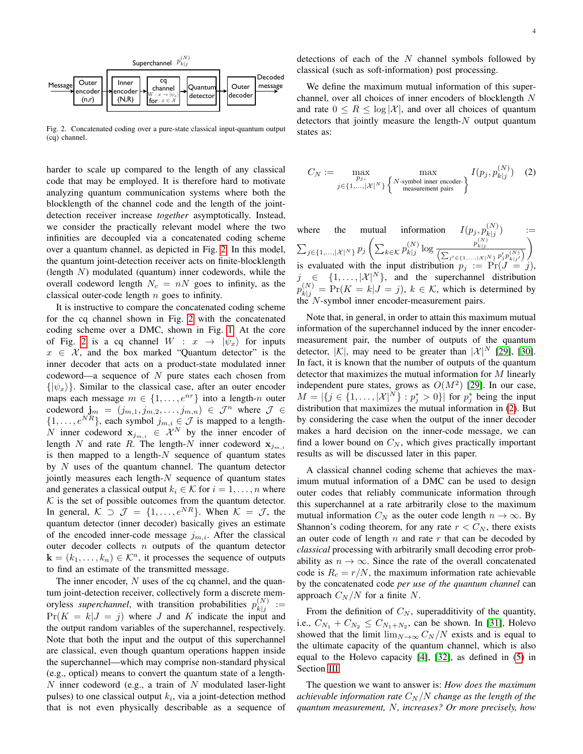

<span id="page-4-0"></span>Fig. 2. Concatenated coding over a pure-state classical input-quantum output (cq) channel.

harder to scale up compared to the length of any classical code that may be employed. It is therefore hard to motivate analyzing quantum communication systems where both the blocklength of the channel code and the length of the jointdetection receiver increase *together* asymptotically. Instead, we consider the practically relevant model where the two infinities are decoupled via a concatenated coding scheme over a quantum channel, as depicted in Fig. [2.](#page-4-0) In this model, the quantum joint-detection receiver acts on finite-blocklength (length  $N$ ) modulated (quantum) inner codewords, while the overall codeword length  $N_c = nN$  goes to infinity, as the classical outer-code length  $n$  goes to infinity.

It is instructive to compare the concatenated coding scheme for the cq channel shown in Fig. [2](#page-4-0) with the concatenated coding scheme over a DMC, shown in Fig. [1.](#page-3-2) At the core of Fig. [2](#page-4-0) is a cq channel  $W : x \rightarrow |\psi_x\rangle$  for inputs  $x \in \mathcal{X}$ , and the box marked "Quantum detector" is the inner decoder that acts on a product-state modulated inner codeword—a sequence of  $N$  pure states each chosen from  $\{|\psi_x\rangle\}$ . Similar to the classical case, after an outer encoder maps each message  $m \in \{1, \ldots, e^{nr}\}\$ into a length-n outer codeword  $\mathbf{j}_m = (j_{m,1}, j_{m,2}, \ldots, j_{m,n}) \in \mathcal{J}^n$  where  $\mathcal{J} \in$  $\{1, \ldots, e^{NR}\}\$ , each symbol  $j_{m,i} \in \mathcal{J}$  is mapped to a length-N inner codeword  $x_{j_{m,i}} \in \mathcal{X}^N$  by the inner encoder of length N and rate R. The length-N inner codeword  $x_{j_m,i}$ is then mapped to a length- $N$  sequence of quantum states by  $N$  uses of the quantum channel. The quantum detector jointly measures each length- $N$  sequence of quantum states and generates a classical output  $k_i \in \mathcal{K}$  for  $i = 1, \ldots, n$  where  $K$  is the set of possible outcomes from the quantum detector. In general,  $K \supset \mathcal{J} = \{1, \ldots, e^{NR}\}\$ . When  $K = \mathcal{J}$ , the quantum detector (inner decoder) basically gives an estimate of the encoded inner-code message  $j_{m,i}$ . After the classical outer decoder collects  $n$  outputs of the quantum detector  $\mathbf{k} = (k_1, \ldots, k_n) \in \mathcal{K}^n$ , it processes the sequence of outputs to find an estimate of the transmitted message.

The inner encoder,  $N$  uses of the cq channel, and the quantum joint-detection receiver, collectively form a discrete memoryless *superchannel*, with transition probabilities  $p_{k|i}^{(N)}$  $\begin{array}{c}\n\binom{iv}{k} :=\\
k \mid j\n\end{array}$  $Pr(K = k | J = j)$  where J and K indicate the input and the output random variables of the superchannel, respectively. Note that both the input and the output of this superchannel are classical, even though quantum operations happen inside the superchannel—which may comprise non-standard physical (e.g., optical) means to convert the quantum state of a length- $N$  inner codeword (e.g., a train of  $N$  modulated laser-light pulses) to one classical output  $k_i$ , via a joint-detection method that is not even physically describable as a sequence of

detections of each of the  $N$  channel symbols followed by classical (such as soft-information) post processing.

We define the maximum mutual information of this superchannel, over all choices of inner encoders of blocklength N and rate  $0 \leq R \leq \log |\mathcal{X}|$ , and over all choices of quantum detectors that jointly measure the length- $N$  output quantum states as:

<span id="page-4-1"></span>
$$
C_N := \max_{\substack{p_j, \\ j \in \{1, ..., |\mathcal{X}|^N\}}} \max_{\substack{\text{max} \\ \text{measured matrix}}} I(p_j, p_{k|j}^{(N)}) \quad (2)
$$

where the mutual information  $I(p_j, p_{k|j}^{(N)})$  $\binom{N}{k|j}$  :=  $\sum_{j\in\{1,\ldots,|\mathcal{X}|^N\}} p_j\left(\sum_{k\in\mathcal{K}} p_{k|j}^{(N)}\right)$  $\frac{p_{k|j}^{(N)}}{\left(\sum_{j'\in\{1,\ldots,|X|^N\}} p_{j'}^{(N)} p_{k|j'}^{(N)}\right)}$  $\setminus$ is evaluated with the input distribution  $p_j := \Pr(J = j)$ ,  $j \in \{1, \ldots, |\mathcal{X}|^N\}$ , and the superchannel distribution  $p_{k|j}^{(N)} = Pr(K = k | J = j), k \in \mathcal{K}$ , which is determined by the N-symbol inner encoder-measurement pairs.

Note that, in general, in order to attain this maximum mutual information of the superchannel induced by the inner encodermeasurement pair, the number of outputs of the quantum detector,  $|\mathcal{K}|$ , may need to be greater than  $|\mathcal{X}|^N$  [\[29\]](#page-22-4), [\[30\]](#page-22-5). In fact, it is known that the number of outputs of the quantum detector that maximizes the mutual information for M linearly independent pure states, grows as  $O(M^2)$  [\[29\]](#page-22-4). In our case,  $M = |\{j \in \{1, \ldots, |\mathcal{X}|^N\} : p_j^* > 0\}|$  for  $p_j^*$  being the input distribution that maximizes the mutual information in [\(2\)](#page-4-1). But by considering the case when the output of the inner decoder makes a hard decision on the inner-code message, we can find a lower bound on  $C_N$ , which gives practically important results as will be discussed later in this paper.

A classical channel coding scheme that achieves the maximum mutual information of a DMC can be used to design outer codes that reliably communicate information through this superchannel at a rate arbitrarily close to the maximum mutual information  $C_N$  as the outer code length  $n \to \infty$ . By Shannon's coding theorem, for any rate  $r < C<sub>N</sub>$ , there exists an outer code of length  $n$  and rate  $r$  that can be decoded by *classical* processing with arbitrarily small decoding error probability as  $n \to \infty$ . Since the rate of the overall concatenated code is  $R_c = r/N$ , the maximum information rate achievable by the concatenated code *per use of the quantum channel* can approach  $C_N/N$  for a finite N.

From the definition of  $C_N$ , superadditivity of the quantity, i.e.,  $C_{N_1} + C_{N_2} \le C_{N_1 + N_2}$ , can be shown. In [\[31\]](#page-22-6), Holevo showed that the limit  $\lim_{N\to\infty} C_N/N$  exists and is equal to the ultimate capacity of the quantum channel, which is also equal to the Holevo capacity [\[4\]](#page-21-1), [\[32\]](#page-22-7), as defined in [\(5\)](#page-7-0) in Section [III.](#page-6-1)

The question we want to answer is: *How does the maximum achievable information rate*  $C_N/N$  *change as the length of the quantum measurement,* N*, increases? Or more precisely, how*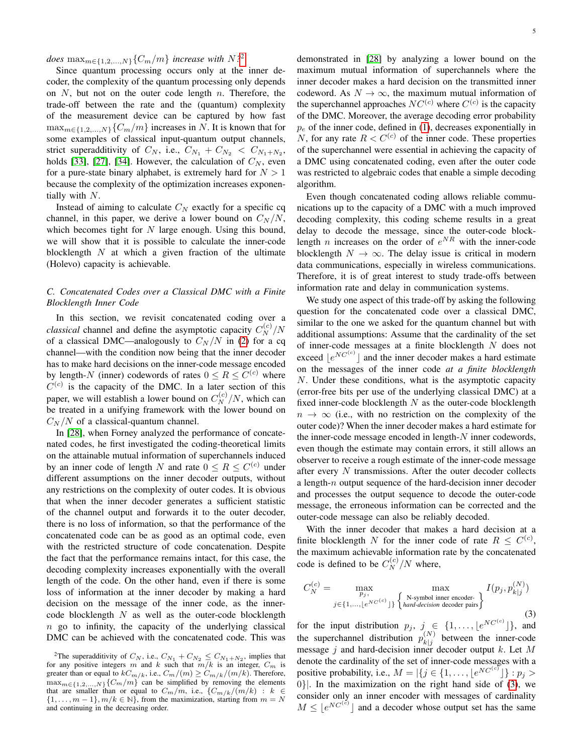$does \max_{m \in \{1,2,\ldots,N\}} \{C_m/m\}$  $does \max_{m \in \{1,2,\ldots,N\}} \{C_m/m\}$  $does \max_{m \in \{1,2,\ldots,N\}} \{C_m/m\}$  *increase with*  $N$ <sup>2</sup>

Since quantum processing occurs only at the inner decoder, the complexity of the quantum processing only depends on  $N$ , but not on the outer code length  $n$ . Therefore, the trade-off between the rate and the (quantum) complexity of the measurement device can be captured by how fast  $\max_{m \in \{1,2,...,N\}} \{C_m/m\}$  increases in N. It is known that for some examples of classical input-quantum output channels, strict superadditivity of  $C_N$ , i.e.,  $C_{N_1} + C_{N_2} < C_{N_1+N_2}$ , holds [\[33\]](#page-22-8), [\[27\]](#page-22-1), [\[34\]](#page-22-9). However, the calculation of  $C_N$ , even for a pure-state binary alphabet, is extremely hard for  $N > 1$ because the complexity of the optimization increases exponentially with N.

Instead of aiming to calculate  $C_N$  exactly for a specific cq channel, in this paper, we derive a lower bound on  $C_N/N$ , which becomes tight for  $N$  large enough. Using this bound, we will show that it is possible to calculate the inner-code blocklength  $N$  at which a given fraction of the ultimate (Holevo) capacity is achievable.

#### <span id="page-5-0"></span>*C. Concatenated Codes over a Classical DMC with a Finite Blocklength Inner Code*

In this section, we revisit concatenated coding over a *classical* channel and define the asymptotic capacity  $C_N^{(c)}/N$ of a classical DMC—analogously to  $C_N/N$  in [\(2\)](#page-4-1) for a cq channel—with the condition now being that the inner decoder has to make hard decisions on the inner-code message encoded by length-N (inner) codewords of rates  $0 \le R \le C^{(c)}$  where  $C^{(c)}$  is the capacity of the DMC. In a later section of this paper, we will establish a lower bound on  $C_N^{(c)}/N$ , which can be treated in a unifying framework with the lower bound on  $C_N/N$  of a classical-quantum channel.

In [\[28\]](#page-22-3), when Forney analyzed the performance of concatenated codes, he first investigated the coding-theoretical limits on the attainable mutual information of superchannels induced by an inner code of length N and rate  $0 \le R \le C^{(c)}$  under different assumptions on the inner decoder outputs, without any restrictions on the complexity of outer codes. It is obvious that when the inner decoder generates a sufficient statistic of the channel output and forwards it to the outer decoder, there is no loss of information, so that the performance of the concatenated code can be as good as an optimal code, even with the restricted structure of code concatenation. Despite the fact that the performance remains intact, for this case, the decoding complexity increases exponentially with the overall length of the code. On the other hand, even if there is some loss of information at the inner decoder by making a hard decision on the message of the inner code, as the innercode blocklength  $N$  as well as the outer-code blocklength  $n$  go to infinity, the capacity of the underlying classical DMC can be achieved with the concatenated code. This was

demonstrated in [\[28\]](#page-22-3) by analyzing a lower bound on the maximum mutual information of superchannels where the inner decoder makes a hard decision on the transmitted inner codeword. As  $N \to \infty$ , the maximum mutual information of the superchannel approaches  $NC^{(c)}$  where  $C^{(c)}$  is the capacity of the DMC. Moreover, the average decoding error probability  $p_e$  of the inner code, defined in [\(1\)](#page-3-3), decreases exponentially in N, for any rate  $R < C^{(c)}$  of the inner code. These properties of the superchannel were essential in achieving the capacity of a DMC using concatenated coding, even after the outer code was restricted to algebraic codes that enable a simple decoding algorithm.

Even though concatenated coding allows reliable communications up to the capacity of a DMC with a much improved decoding complexity, this coding scheme results in a great delay to decode the message, since the outer-code blocklength *n* increases on the order of  $e^{NR}$  with the inner-code blocklength  $N \to \infty$ . The delay issue is critical in modern data communications, especially in wireless communications. Therefore, it is of great interest to study trade-offs between information rate and delay in communication systems.

We study one aspect of this trade-off by asking the following question for the concatenated code over a classical DMC, similar to the one we asked for the quantum channel but with additional assumptions: Assume that the cardinality of the set of inner-code messages at a finite blocklength N does not exceed  $\lfloor e^{NC^{(c)}} \rfloor$  and the inner decoder makes a hard estimate on the messages of the inner code *at a finite blocklength* N. Under these conditions, what is the asymptotic capacity (error-free bits per use of the underlying classical DMC) at a fixed inner-code blocklength  $N$  as the outer-code blocklength  $n \to \infty$  (i.e., with no restriction on the complexity of the outer code)? When the inner decoder makes a hard estimate for the inner-code message encoded in length- $N$  inner codewords, even though the estimate may contain errors, it still allows an observer to receive a rough estimate of the inner-code message after every  $N$  transmissions. After the outer decoder collects a length-n output sequence of the hard-decision inner decoder and processes the output sequence to decode the outer-code message, the erroneous information can be corrected and the outer-code message can also be reliably decoded.

With the inner decoder that makes a hard decision at a finite blocklength N for the inner code of rate  $R \leq C^{(c)}$ , the maximum achievable information rate by the concatenated code is defined to be  $C_N^{(c)}/N$  where,

<span id="page-5-2"></span>
$$
C_N^{(c)} = \max_{p_j, \atop j \in \{1, \ldots, \lfloor e^{NC^{(c)}} \rfloor\}} \max_{\left\{ \substack{N\text{-symbol inner encoder} \\ \text{hard-decision decoder pairs} \right\}} I(p_j, p_{k|j}^{(N)})
$$
\n(3)

for the input distribution  $p_j, \, j \in \{1, \ldots, \lfloor e^{NC^{(c)}} \rfloor \}$ , and the superchannel distribution  $p_{k|j}^{(N)}$  $\begin{bmatrix} x \\ k \end{bmatrix}$  between the inner-code message  $j$  and hard-decision inner decoder output  $k$ . Let  $M$ denote the cardinality of the set of inner-code messages with a positive probability, i.e.,  $M = |\{j \in \{1, ..., \lfloor e^{NC^{(c)}} \rfloor\} : p_j >$  $0\}$ . In the maximization on the right hand side of [\(3\)](#page-5-2), we consider only an inner encoder with messages of cardinality  $M \leq \lfloor e^{NC^{(c)}} \rfloor$  and a decoder whose output set has the same

<span id="page-5-1"></span><sup>&</sup>lt;sup>2</sup>The superadditivity of  $C_N$ , i.e.,  $C_{N_1} + C_{N_2} \leq C_{N_1+N_2}$ , implies that for any positive integers m and k such that  $m/k$  is an integer,  $C_m$  is greater than or equal to  $kC_{m/k}$ , i.e.,  $C_m/(m) \geq C_{m/k}/(m/k)$ . Therefore,  $\max_{m \in \{1,2,...,N\}} \{C_m/m\}$  can be simplified by removing the elements that are smaller than or equal to  $C_m/m$ , i.e.,  $\{C_{m/k}/(m/k) : k \in$  $\{1, \ldots, m-1\}, m/k \in \mathbb{N}\},$  from the maximization, starting from  $m = N$ and continuing in the decreasing order.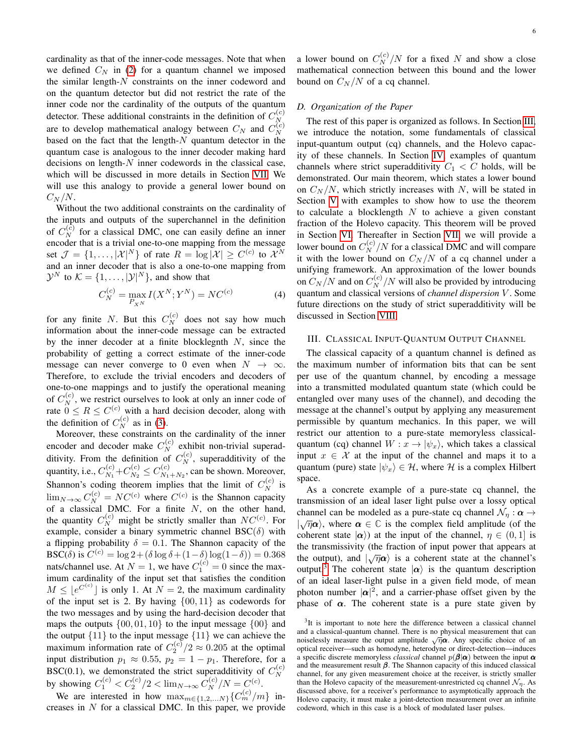cardinality as that of the inner-code messages. Note that when we defined  $C_N$  in [\(2\)](#page-4-1) for a quantum channel we imposed the similar length- $N$  constraints on the inner codeword and on the quantum detector but did not restrict the rate of the inner code nor the cardinality of the outputs of the quantum detector. These additional constraints in the definition of  $C_N^{(c)}$ N are to develop mathematical analogy between  $C_N$  and  $C_N^{(c)}$ N based on the fact that the length- $N$  quantum detector in the quantum case is analogous to the inner decoder making hard decisions on length- $N$  inner codewords in the classical case, which will be discussed in more details in Section [VII.](#page-12-0) We will use this analogy to provide a general lower bound on  $C_N/N$ .

Without the two additional constraints on the cardinality of the inputs and outputs of the superchannel in the definition of  $C_N^{(c)}$  for a classical DMC, one can easily define an inner encoder that is a trivial one-to-one mapping from the message set  $\mathcal{J} = \{1, ..., |\mathcal{X}|^N\}$  of rate  $R = \log |\mathcal{X}| \ge C^{(c)}$  to  $\mathcal{X}^N$ and an inner decoder that is also a one-to-one mapping from  $\mathcal{Y}^N$  to  $\mathcal{K} = \{1, \ldots, |\mathcal{Y}|^N\}$ , and show that

$$
C_N^{(c)} = \max_{P_{X^N}} I(X^N; Y^N) = NC^{(c)}
$$
 (4)

for any finite N. But this  $C_N^{(c)}$  does not say how much information about the inner-code message can be extracted by the inner decoder at a finite blocklegnth  $N$ , since the probability of getting a correct estimate of the inner-code message can never converge to 0 even when  $N \to \infty$ . Therefore, to exclude the trivial encoders and decoders of one-to-one mappings and to justify the operational meaning of  $C_N^{(c)}$ , we restrict ourselves to look at only an inner code of rate  $0 \leq R \leq C^{(c)}$  with a hard decision decoder, along with the definition of  $C_N^{(c)}$  as in [\(3\)](#page-5-2).

Moreover, these constraints on the cardinality of the inner encoder and decoder make  $C_N^{(c)}$  exhibit non-trivial superadditivity. From the definition of  $C_N^{(c)}$ , superadditivity of the quantity, i.e.,  $C_{N_1}^{(c)}$  $C_{N_1}^{(c)}+C_{N_2}^{(c)}$  $C_{N_2}^{(c)} \leq C_{N_1}^{(c)}$  $N_1+N_2$ , can be shown. Moreover, Shannon's coding theorem implies that the limit of  $C_N^{(c)}$  is  $\lim_{N \to \infty} C_N^{(c)} = NC^{(c)}$  where  $C^{(c)}$  is the Shannon capacity of a classical DMC. For a finite  $N$ , on the other hand, the quantity  $C_N^{(c)}$  might be strictly smaller than  $NC^{(c)}$ . For example, consider a binary symmetric channel  $BSC(\delta)$  with a flipping probability  $\delta = 0.1$ . The Shannon capacity of the BSC( $\delta$ ) is  $C^{(c)} = \log 2 + (\delta \log \delta + (1 - \delta) \log(1 - \delta)) = 0.368$ nats/channel use. At  $N = 1$ , we have  $C_1^{(c)} = 0$  since the maximum cardinality of the input set that satisfies the condition  $M \leq [e^{C^{(c)}}]$  is only 1. At  $N = 2$ , the maximum cardinality of the input set is 2. By having  $\{00, 11\}$  as codewords for the two messages and by using the hard-decision decoder that maps the outputs  $\{00, 01, 10\}$  to the input message  $\{00\}$  and the output  $\{11\}$  to the input message  $\{11\}$  we can achieve the maximum information rate of  $C_2^{(c)}/2 \approx 0.205$  at the optimal input distribution  $p_1 \approx 0.55$ ,  $p_2 = 1 - p_1$ . Therefore, for a BSC(0.1), we demonstrated the strict superadditivity of  $C_N^{(c)}$ N by showing  $C_1^{(c)} < C_2^{(c)}/2 < \lim_{N \to \infty} C_N^{(c)}/N = C_c^{(c)}$ .

We are interested in how  $\max_{m \in \{1, 2, \dots, N\}} \{C_m^{(c)} / m\}$  increases in  $N$  for a classical DMC. In this paper, we provide

a lower bound on  $C_N^{(c)}/N$  for a fixed N and show a close mathematical connection between this bound and the lower bound on  $C_N/N$  of a cq channel.

#### <span id="page-6-0"></span>*D. Organization of the Paper*

The rest of this paper is organized as follows. In Section [III,](#page-6-1) we introduce the notation, some fundamentals of classical input-quantum output (cq) channels, and the Holevo capacity of these channels. In Section [IV,](#page-7-1) examples of quantum channels where strict superadditivity  $C_1 < C$  holds, will be demonstrated. Our main theorem, which states a lower bound on  $C_N/N$ , which strictly increases with N, will be stated in Section [V](#page-9-0) with examples to show how to use the theorem to calculate a blocklength  $N$  to achieve a given constant fraction of the Holevo capacity. This theorem will be proved in Section [VI.](#page-11-0) Thereafter in Section [VII,](#page-12-0) we will provide a lower bound on  $C_N^{(c)}/N$  for a classical DMC and will compare it with the lower bound on  $C_N/N$  of a cq channel under a unifying framework. An approximation of the lower bounds on  $C_N/N$  and on  $C_N^{(c)}/N$  will also be provided by introducing quantum and classical versions of *channel dispersion* V . Some future directions on the study of strict superadditivity will be discussed in Section [VIII.](#page-15-0)

#### <span id="page-6-1"></span>III. CLASSICAL INPUT-QUANTUM OUTPUT CHANNEL

The classical capacity of a quantum channel is defined as the maximum number of information bits that can be sent per use of the quantum channel, by encoding a message into a transmitted modulated quantum state (which could be entangled over many uses of the channel), and decoding the message at the channel's output by applying any measurement permissible by quantum mechanics. In this paper, we will restrict our attention to a pure-state memoryless classicalquantum (cq) channel  $W: x \to |\psi_x\rangle$ , which takes a classical input  $x \in \mathcal{X}$  at the input of the channel and maps it to a quantum (pure) state  $|\psi_x\rangle \in \mathcal{H}$ , where  $\mathcal H$  is a complex Hilbert space.

As a concrete example of a pure-state cq channel, the transmission of an ideal laser light pulse over a lossy optical channel can be modeled as a pure-state cq channel  $\mathcal{N}_\eta$  :  $\alpha \rightarrow$  $|\sqrt{\eta}\alpha\rangle$ , where  $\alpha \in \mathbb{C}$  is the complex field amplitude (of the coherent state  $|\alpha\rangle$ ) at the input of the channel,  $\eta \in (0, 1]$  is the transmissivity (the fraction of input power that appears at the output), and  $|\sqrt{\eta}\alpha\rangle$  is a coherent state at the channel's output.<sup>[3](#page-6-2)</sup> The coherent state  $|\alpha\rangle$  is the quantum description of an ideal laser-light pulse in a given field mode, of mean photon number  $|\alpha|^2$ , and a carrier-phase offset given by the phase of  $\alpha$ . The coherent state is a pure state given by

<span id="page-6-2"></span><sup>&</sup>lt;sup>3</sup>It is important to note here the difference between a classical channel and a classical-quantum channel. There is no physical measurement that can noiselessly measure the output amplitude  $\sqrt{\eta} \alpha$ . Any specific choice of an optical receiver—such as homodyne, heterodyne or direct-detection—induces a specific discrete memoryless *classical* channel  $p(\beta|\alpha)$  between the input  $\alpha$ and the measurement result  $\beta$ . The Shannon capacity of this induced classical channel, for any given measurement choice at the receiver, is strictly smaller than the Holevo capacity of the measurement-unrestricted cq channel  $\mathcal{N}_{\eta}$ . As discussed above, for a receiver's performance to asymptotically approach the Holevo capacity, it must make a joint-detection measurement over an infinite codeword, which in this case is a block of modulated laser pulses.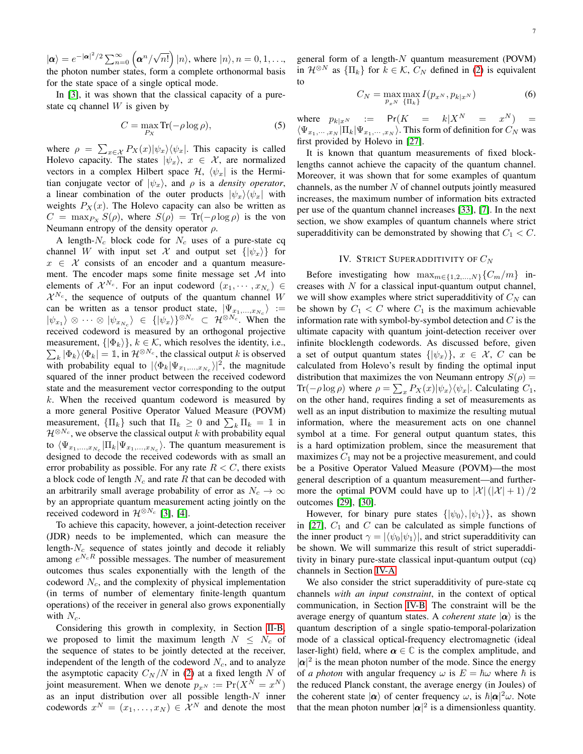$|\alpha\rangle = e^{-|\alpha|^2/2} \sum_{n=0}^{\infty} \left( \alpha^n / \sqrt{n!} \right) |n\rangle$ , where  $|n\rangle$ ,  $n = 0, 1, \dots$ , the photon number states, form  $a$  complete orthonormal basis for the state space of a single optical mode.

In [\[3\]](#page-21-0), it was shown that the classical capacity of a purestate cq channel  $W$  is given by

<span id="page-7-0"></span>
$$
C = \max_{P_X} \text{Tr}(-\rho \log \rho),\tag{5}
$$

where  $\rho = \sum_{x \in \mathcal{X}} P_X(x) |\psi_x\rangle \langle \psi_x|$ . This capacity is called Holevo capacity. The states  $|\psi_x\rangle$ ,  $x \in \mathcal{X}$ , are normalized vectors in a complex Hilbert space  $\mathcal{H}$ ,  $\langle \psi_x |$  is the Hermitian conjugate vector of  $|\psi_x\rangle$ , and  $\rho$  is a *density operator*, a linear combination of the outer products  $|\psi_x\rangle \langle \psi_x|$  with weights  $P_X(x)$ . The Holevo capacity can also be written as  $C = \max_{P_X} S(\rho)$ , where  $S(\rho) = \text{Tr}(-\rho \log \rho)$  is the von Neumann entropy of the density operator  $\rho$ .

A length- $N_c$  block code for  $N_c$  uses of a pure-state cq channel W with input set X and output set  $\{|\psi_x\rangle\}$  for  $x \in \mathcal{X}$  consists of an encoder and a quantum measurement. The encoder maps some finite message set  $M$  into elements of  $\mathcal{X}^{N_c}$ . For an input codeword  $(x_1, \dots, x_{N_c}) \in$  $\mathcal{X}^{N_c}$ , the sequence of outputs of the quantum channel W can be written as a tensor product state,  $|\Psi_{x_1,...,x_{N_c}}\rangle :=$  $|\psi_{x_1}\rangle \otimes \cdots \otimes |\psi_{x_{N_c}}\rangle \in \{|\psi_x\rangle\}^{\otimes N_c} \subset \mathcal{H}^{\otimes N_c}$ . When the received codeword is measured by an orthogonal projective measurement,  $\{|\Phi_k\rangle\}$ ,  $k \in \mathcal{K}$ , which resolves the identity, i.e.,  $\sum_{k} |\Phi_{k}\rangle\langle\Phi_{k}| = \mathbb{1}$ , in  $\mathcal{H}^{\otimes N_c}$ , the classical output k is observed with probability equal to  $|\langle \Phi_k | \Psi_{x_1,...,x_{N_c}} \rangle|^2$ , the magnitude squared of the inner product between the received codeword state and the measurement vector corresponding to the output  $k$ . When the received quantum codeword is measured by a more general Positive Operator Valued Measure (POVM) measurement,  $\{\Pi_k\}$  such that  $\Pi_k \geq 0$  and  $\sum_k \Pi_k = \mathbb{1}$  in  $\mathcal{H}^{\otimes N_c}$ , we observe the classical output k with probability equal to  $\langle \Psi_{x_1,...,x_{N_c}} | \Pi_k | \Psi_{x_1,...,x_{N_c}} \rangle$ . The quantum measurement is designed to decode the received codewords with as small an error probability as possible. For any rate  $R < C$ , there exists a block code of length  $N_c$  and rate R that can be decoded with an arbitrarily small average probability of error as  $N_c \rightarrow \infty$ by an appropriate quantum measurement acting jointly on the received codeword in  $\mathcal{H}^{\otimes N_c}$  [\[3\]](#page-21-0), [\[4\]](#page-21-1).

To achieve this capacity, however, a joint-detection receiver (JDR) needs to be implemented, which can measure the length- $N_c$  sequence of states jointly and decode it reliably among  $e^{N_cR}$  possible messages. The number of measurement outcomes thus scales exponentially with the length of the codeword  $N_c$ , and the complexity of physical implementation (in terms of number of elementary finite-length quantum operations) of the receiver in general also grows exponentially with  $N_c$ .

Considering this growth in complexity, in Section [II-B,](#page-3-1) we proposed to limit the maximum length  $N \leq N_c$  of the sequence of states to be jointly detected at the receiver, independent of the length of the codeword  $N_c$ , and to analyze the asymptotic capacity  $C_N/N$  in [\(2\)](#page-4-1) at a fixed length N of joint measurement. When we denote  $p_{x^N} := \Pr(X^N = x^N)$ as an input distribution over all possible length- $N$  inner codewords  $x^N = (x_1, \dots, x_N) \in \mathcal{X}^N$  and denote the most general form of a length- $N$  quantum measurement (POVM) in  $\mathcal{H}^{\otimes N}$  as  $\{\Pi_k\}$  for  $k \in \mathcal{K}$ ,  $C_N$  defined in [\(2\)](#page-4-1) is equivalent to

$$
C_N = \max_{p_{x^N}} \max_{\{\Pi_k\}} I(p_{x^N}, p_{k|x^N})
$$
 (6)

where  $p_{k|x^N} := Pr(K = k|X^N = x^N) =$  $\langle \Psi_{x_1,\dots,x_N} | \Pi_k | \Psi_{x_1,\dots,x_N} \rangle$ . This form of definition for  $C_N$  was first provided by Holevo in [\[27\]](#page-22-1).

It is known that quantum measurements of fixed blocklengths cannot achieve the capacity of the quantum channel. Moreover, it was shown that for some examples of quantum channels, as the number  $N$  of channel outputs jointly measured increases, the maximum number of information bits extracted per use of the quantum channel increases [\[33\]](#page-22-8), [\[7\]](#page-21-6). In the next section, we show examples of quantum channels where strict superadditivity can be demonstrated by showing that  $C_1 < C$ .

#### IV. STRICT SUPERADDITIVITY OF  $C_N$

<span id="page-7-1"></span>Before investigating how  $\max_{m \in \{1,2,...,N\}} \{C_m/m\}$  increases with  $N$  for a classical input-quantum output channel, we will show examples where strict superadditivity of  $C<sub>N</sub>$  can be shown by  $C_1 < C$  where  $C_1$  is the maximum achievable information rate with symbol-by-symbol detection and  $C$  is the ultimate capacity with quantum joint-detection receiver over infinite blocklength codewords. As discussed before, given a set of output quantum states  $\{|\psi_x\rangle\}$ ,  $x \in \mathcal{X}$ , C can be calculated from Holevo's result by finding the optimal input distribution that maximizes the von Neumann entropy  $S(\rho)$  = Tr( $-\rho \log \rho$ ) where  $\rho = \sum_{x} P_X(x) |\psi_x\rangle \langle \psi_x|$ . Calculating  $C_1$ , on the other hand, requires finding a set of measurements as well as an input distribution to maximize the resulting mutual information, where the measurement acts on one channel symbol at a time. For general output quantum states, this is a hard optimization problem, since the measurement that maximizes  $C_1$  may not be a projective measurement, and could be a Positive Operator Valued Measure (POVM)—the most general description of a quantum measurement—and furthermore the optimal POVM could have up to  $|\mathcal{X}|(|\mathcal{X}|+1)/2$ outcomes [\[29\]](#page-22-4), [\[30\]](#page-22-5).

However, for binary pure states  $\{|\psi_0\rangle, |\psi_1\rangle\}$ , as shown in [\[27\]](#page-22-1),  $C_1$  and C can be calculated as simple functions of the inner product  $\gamma = |\langle \psi_0 | \psi_1 \rangle|$ , and strict superadditivity can be shown. We will summarize this result of strict superadditivity in binary pure-state classical input-quantum output (cq) channels in Section [IV-A.](#page-8-0)

We also consider the strict superadditivity of pure-state cq channels *with an input constraint*, in the context of optical communication, in Section [IV-B.](#page-8-1) The constraint will be the average energy of quantum states. A *coherent state*  $|\alpha\rangle$  is the quantum description of a single spatio-temporal-polarization mode of a classical optical-frequency electromagnetic (ideal laser-light) field, where  $\alpha \in \mathbb{C}$  is the complex amplitude, and  $|\alpha|^2$  is the mean photon number of the mode. Since the energy of *a photon* with angular frequency  $\omega$  is  $E = \hbar \omega$  where  $\hbar$  is the reduced Planck constant, the average energy (in Joules) of the coherent state  $|\alpha\rangle$  of center frequency  $\omega$ , is  $\hbar |\alpha|^2 \omega$ . Note that the mean photon number  $|\alpha|^2$  is a dimensionless quantity.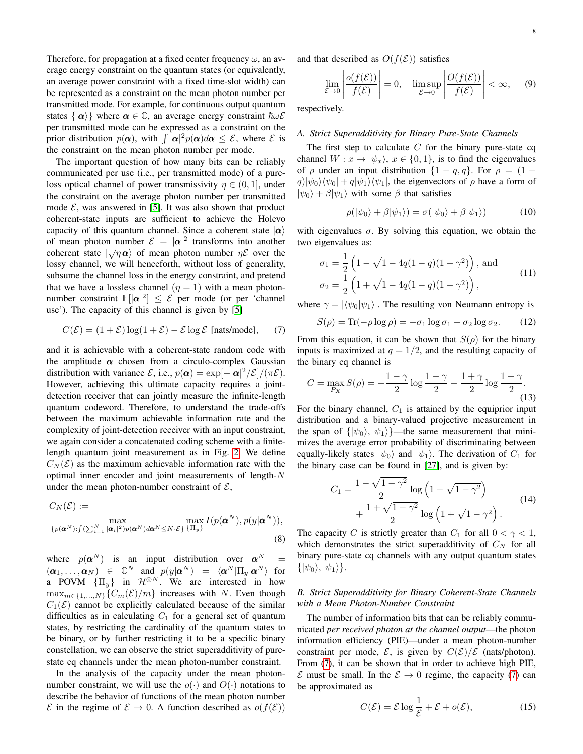Therefore, for propagation at a fixed center frequency  $\omega$ , an average energy constraint on the quantum states (or equivalently, an average power constraint with a fixed time-slot width) can be represented as a constraint on the mean photon number per transmitted mode. For example, for continuous output quantum states  $\{|\alpha\rangle\}$  where  $\alpha \in \mathbb{C}$ , an average energy constraint  $\hbar \omega \mathcal{E}$ per transmitted mode can be expressed as a constraint on the prior distribution  $p(\boldsymbol{\alpha})$ , with  $\int |\boldsymbol{\alpha}|^2 p(\boldsymbol{\alpha}) d\boldsymbol{\alpha} \leq \mathcal{E}$ , where  $\mathcal E$  is the constraint on the mean photon number per mode.

The important question of how many bits can be reliably communicated per use (i.e., per transmitted mode) of a pureloss optical channel of power transmissivity  $\eta \in (0, 1]$ , under the constraint on the average photon number per transmitted mode  $\mathcal{E}$ , was answered in [\[5\]](#page-21-2). It was also shown that product coherent-state inputs are sufficient to achieve the Holevo capacity of this quantum channel. Since a coherent state  $|\alpha\rangle$ of mean photon number  $\mathcal{E} = |\alpha|^2$  transforms into another coherent state  $|\sqrt{\eta} \alpha\rangle$  of mean photon number  $\eta \mathcal{E}$  over the lossy channel, we will henceforth, without loss of generality, subsume the channel loss in the energy constraint, and pretend that we have a lossless channel  $(\eta = 1)$  with a mean photonnumber constraint  $\mathbb{E}[\vert \alpha \vert^2] \leq \mathcal{E}$  per mode (or per 'channel use'). The capacity of this channel is given by [\[5\]](#page-21-2)

<span id="page-8-2"></span>
$$
C(\mathcal{E}) = (1 + \mathcal{E}) \log(1 + \mathcal{E}) - \mathcal{E} \log \mathcal{E}
$$
 [nats/mode], (7)

and it is achievable with a coherent-state random code with the amplitude  $\alpha$  chosen from a circulo-complex Gaussian distribution with variance  $\mathcal{E}$ , i.e.,  $p(\boldsymbol{\alpha}) = \exp[-|\boldsymbol{\alpha}|^2/\mathcal{E}]/(\pi \mathcal{E})$ . However, achieving this ultimate capacity requires a jointdetection receiver that can jointly measure the infinite-length quantum codeword. Therefore, to understand the trade-offs between the maximum achievable information rate and the complexity of joint-detection receiver with an input constraint, we again consider a concatenated coding scheme with a finitelength quantum joint measurement as in Fig. [2.](#page-4-0) We define  $C_N(\mathcal{E})$  as the maximum achievable information rate with the optimal inner encoder and joint measurements of length-N under the mean photon-number constraint of  $\mathcal{E}$ ,

$$
C_N(\mathcal{E}) := \max_{\{p(\boldsymbol{\alpha}^N): \int (\sum_{i=1}^N |\boldsymbol{\alpha}_i|^2)p(\boldsymbol{\alpha}^N)d\boldsymbol{\alpha}^N \le N \cdot \mathcal{E}\}} \max_{\{\Pi_y\}} I(p(\boldsymbol{\alpha}^N), p(y|\boldsymbol{\alpha}^N)),
$$
\n(8)

where  $p(\boldsymbol{\alpha}^N)$  is an input distribution over  $\boldsymbol{\alpha}^N =$  $(\boldsymbol{\alpha}_1, \ldots, \boldsymbol{\alpha}_N) \in \mathbb{C}^N$  and  $p(y|\boldsymbol{\alpha}^N) = \langle \boldsymbol{\alpha}^N | \Pi_y | \boldsymbol{\alpha}^N \rangle$  for a POVM  $\{\Pi_u\}$  in  $\mathcal{H}^{\otimes N}$ . We are interested in how  $\max_{m \in \{1,...,N\}}\{C_m(\mathcal{E})/m\}$  increases with N. Even though  $C_1(\mathcal{E})$  cannot be explicitly calculated because of the similar difficulties as in calculating  $C_1$  for a general set of quantum states, by restricting the cardinality of the quantum states to be binary, or by further restricting it to be a specific binary constellation, we can observe the strict superadditivity of purestate cq channels under the mean photon-number constraint.

In the analysis of the capacity under the mean photonnumber constraint, we will use the  $o(\cdot)$  and  $O(\cdot)$  notations to describe the behavior of functions of the mean photon number  $\mathcal E$  in the regime of  $\mathcal E \to 0$ . A function described as  $o(f(\mathcal E))$  and that described as  $O(f(\mathcal{E}))$  satisfies

$$
\lim_{\mathcal{E}\to 0} \left| \frac{o(f(\mathcal{E}))}{f(\mathcal{E})} \right| = 0, \quad \limsup_{\mathcal{E}\to 0} \left| \frac{O(f(\mathcal{E}))}{f(\mathcal{E})} \right| < \infty, \quad (9)
$$

respectively.

#### <span id="page-8-0"></span>*A. Strict Superadditivity for Binary Pure-State Channels*

The first step to calculate  $C$  for the binary pure-state cq channel  $W: x \to |\psi_x\rangle, x \in \{0, 1\}$ , is to find the eigenvalues of  $\rho$  under an input distribution  $\{1-q, q\}$ . For  $\rho = (1 |q| |\psi_0\rangle \langle \psi_0| + |q| \psi_1 \rangle \langle \psi_1|$ , the eigenvectors of  $\rho$  have a form of  $|\psi_0\rangle + \beta |\psi_1\rangle$  with some  $\beta$  that satisfies

$$
\rho(|\psi_0\rangle + \beta|\psi_1\rangle) = \sigma(|\psi_0\rangle + \beta|\psi_1\rangle) \tag{10}
$$

with eigenvalues  $\sigma$ . By solving this equation, we obtain the two eigenvalues as:

<span id="page-8-6"></span>
$$
\sigma_1 = \frac{1}{2} \left( 1 - \sqrt{1 - 4q(1 - q)(1 - \gamma^2)} \right), \text{ and}
$$
  
\n
$$
\sigma_2 = \frac{1}{2} \left( 1 + \sqrt{1 - 4q(1 - q)(1 - \gamma^2)} \right),
$$
\n(11)

where  $\gamma = |\langle \psi_0 | \psi_1 \rangle|$ . The resulting von Neumann entropy is

$$
S(\rho) = \text{Tr}(-\rho \log \rho) = -\sigma_1 \log \sigma_1 - \sigma_2 \log \sigma_2. \tag{12}
$$

From this equation, it can be shown that  $S(\rho)$  for the binary inputs is maximized at  $q = 1/2$ , and the resulting capacity of the binary cq channel is

<span id="page-8-4"></span>
$$
C = \max_{P_X} S(\rho) = -\frac{1-\gamma}{2} \log \frac{1-\gamma}{2} - \frac{1+\gamma}{2} \log \frac{1+\gamma}{2}.
$$
\n(13)

For the binary channel,  $C_1$  is attained by the equiprior input distribution and a binary-valued projective measurement in the span of  $\{|\psi_0\rangle, |\psi_1\rangle\}$ —the same measurement that minimizes the average error probability of discriminating between equally-likely states  $|\psi_0\rangle$  and  $|\psi_1\rangle$ . The derivation of  $C_1$  for the binary case can be found in [\[27\]](#page-22-1), and is given by:

<span id="page-8-5"></span>
$$
C_1 = \frac{1 - \sqrt{1 - \gamma^2}}{2} \log \left( 1 - \sqrt{1 - \gamma^2} \right) + \frac{1 + \sqrt{1 - \gamma^2}}{2} \log \left( 1 + \sqrt{1 - \gamma^2} \right).
$$
(14)

The capacity C is strictly greater than  $C_1$  for all  $0 < \gamma < 1$ , which demonstrates the strict superadditivity of  $C_N$  for all binary pure-state cq channels with any output quantum states  $\{|\psi_0\rangle, |\psi_1\rangle\}.$ 

#### <span id="page-8-1"></span>*B. Strict Superadditivity for Binary Coherent-State Channels with a Mean Photon-Number Constraint*

The number of information bits that can be reliably communicated *per received photon at the channel output*—the photon information efficiency (PIE)—under a mean photon-number constraint per mode,  $\mathcal{E}$ , is given by  $C(\mathcal{E})/\mathcal{E}$  (nats/photon). From [\(7\)](#page-8-2), it can be shown that in order to achieve high PIE,  $\mathcal E$  must be small. In the  $\mathcal E \to 0$  regime, the capacity [\(7\)](#page-8-2) can be approximated as

<span id="page-8-3"></span>
$$
C(\mathcal{E}) = \mathcal{E} \log \frac{1}{\mathcal{E}} + \mathcal{E} + o(\mathcal{E}),\tag{15}
$$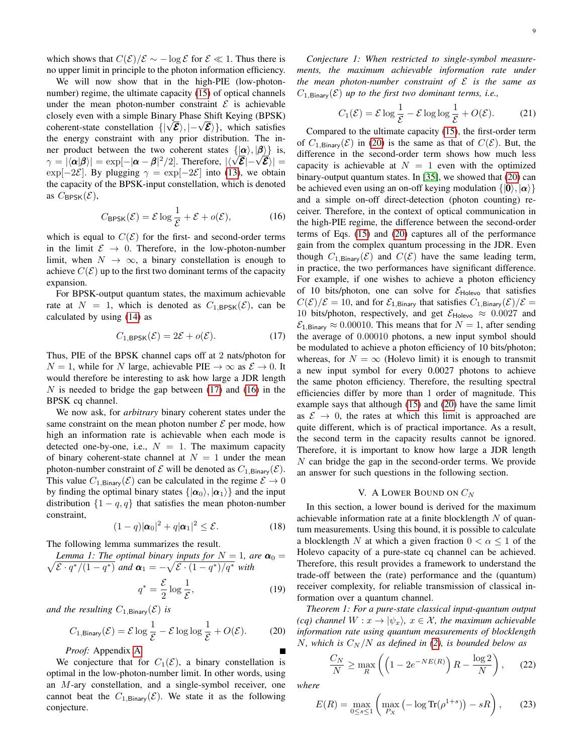which shows that  $C(\mathcal{E})/\mathcal{E} \sim -\log \mathcal{E}$  for  $\mathcal{E} \ll 1$ . Thus there is no upper limit in principle to the photon information efficiency.

We will now show that in the high-PIE (low-photon-number) regime, the ultimate capacity [\(15\)](#page-8-3) of optical channels under the mean photon-number constraint  $\mathcal E$  is achievable closely even with a simple Binary Phase Shift Keying (BPSK) coherent-state constellation  $\{ |\sqrt{\mathcal{E}}\rangle, |-\sqrt{\mathcal{E}}\rangle \}$ , which satisfies the energy constraint with any prior distribution. The inner product between the two coherent states  $\{|\alpha\rangle, |\beta\rangle\}$  is,  $\gamma = |\langle \alpha | \beta \rangle| = \exp[-|\alpha - \beta|^2/2]$ . Therefore,  $|\langle \sqrt{\mathcal{E}}| - \sqrt{\mathcal{E}} \rangle| =$ exp[-2 $\mathcal{E}$ ]. By plugging  $\gamma = \exp[-2\mathcal{E}]$  into [\(13\)](#page-8-4), we obtain the capacity of the BPSK-input constellation, which is denoted as  $C_{\text{BPSK}}(\mathcal{E}),$ 

$$
C_{\text{BPSK}}(\mathcal{E}) = \mathcal{E} \log \frac{1}{\mathcal{E}} + \mathcal{E} + o(\mathcal{E}), \tag{16}
$$

<span id="page-9-2"></span>which is equal to  $C(\mathcal{E})$  for the first- and second-order terms in the limit  $\mathcal{E} \rightarrow 0$ . Therefore, in the low-photon-number limit, when  $N \to \infty$ , a binary constellation is enough to achieve  $C(\mathcal{E})$  up to the first two dominant terms of the capacity expansion.

For BPSK-output quantum states, the maximum achievable rate at  $N = 1$ , which is denoted as  $C_{1,\text{BPSK}}(\mathcal{E})$ , can be calculated by using [\(14\)](#page-8-5) as

$$
C_{1,\text{BPSK}}(\mathcal{E}) = 2\mathcal{E} + o(\mathcal{E}).\tag{17}
$$

<span id="page-9-1"></span>Thus, PIE of the BPSK channel caps off at 2 nats/photon for  $N = 1$ , while for N large, achievable PIE  $\rightarrow \infty$  as  $\mathcal{E} \rightarrow 0$ . It would therefore be interesting to ask how large a JDR length N is needed to bridge the gap between  $(17)$  and  $(16)$  in the BPSK cq channel.

We now ask, for *arbitrary* binary coherent states under the same constraint on the mean photon number  $\mathcal E$  per mode, how high an information rate is achievable when each mode is detected one-by-one, i.e.,  $N = 1$ . The maximum capacity of binary coherent-state channel at  $N = 1$  under the mean photon-number constraint of  $\mathcal E$  will be denoted as  $C_{1,\text{Binary}}(\mathcal E)$ . This value  $C_{1,\text{Binary}}(\mathcal{E})$  can be calculated in the regime  $\mathcal{E} \to 0$ by finding the optimal binary states  $\{|\alpha_0\rangle, |\alpha_1\rangle\}$  and the input distribution  $\{1-q, q\}$  that satisfies the mean photon-number constraint,

$$
(1-q)|\boldsymbol{\alpha}_0|^2 + q|\boldsymbol{\alpha}_1|^2 \le \mathcal{E}.
$$
 (18)

The following lemma summarizes the result.

<span id="page-9-7"></span>Lemma 1: The optimal binary inputs for 
$$
N = 1
$$
, are  $\alpha_0 = \sqrt{\mathcal{E} \cdot q^*/(1 - q^*)}$  and  $\alpha_1 = -\sqrt{\mathcal{E} \cdot (1 - q^*)/q^*}$  with

$$
q^* = \frac{\mathcal{E}}{2} \log \frac{1}{\mathcal{E}},\tag{19}
$$

*and the resulting*  $C_{1, \text{Binary}}(\mathcal{E})$  *is* 

<span id="page-9-3"></span>
$$
C_{1,\text{Binary}}(\mathcal{E}) = \mathcal{E} \log \frac{1}{\mathcal{E}} - \mathcal{E} \log \log \frac{1}{\mathcal{E}} + O(\mathcal{E}).
$$
 (20)

*Proof:* Appendix [A.](#page-16-0)

We conjecture that for  $C_1(\mathcal{E})$ , a binary constellation is optimal in the low-photon-number limit. In other words, using an M-ary constellation, and a single-symbol receiver, one cannot beat the  $C_{1, \text{Binary}}(\mathcal{E})$ . We state it as the following conjecture.

*Conjecture 1: When restricted to single-symbol measurements, the maximum achievable information rate under the mean photon-number constraint of* E *is the same as*  $C_{1,\text{Binary}}(\mathcal{E})$  *up to the first two dominant terms, i.e.,* 

$$
C_1(\mathcal{E}) = \mathcal{E} \log \frac{1}{\mathcal{E}} - \mathcal{E} \log \log \frac{1}{\mathcal{E}} + O(\mathcal{E}).
$$
 (21)

Compared to the ultimate capacity [\(15\)](#page-8-3), the first-order term of  $C_{1,\text{Binary}}(\mathcal{E})$  in [\(20\)](#page-9-3) is the same as that of  $C(\mathcal{E})$ . But, the difference in the second-order term shows how much less capacity is achievable at  $N = 1$  even with the optimized binary-output quantum states. In [\[35\]](#page-22-10), we showed that [\(20\)](#page-9-3) can be achieved even using an on-off keying modulation  $\{|\mathbf{0}\rangle, |\alpha\rangle\}$ and a simple on-off direct-detection (photon counting) receiver. Therefore, in the context of optical communication in the high-PIE regime, the difference between the second-order terms of Eqs. [\(15\)](#page-8-3) and [\(20\)](#page-9-3) captures all of the performance gain from the complex quantum processing in the JDR. Even though  $C_{1, \text{Binary}}(\mathcal{E})$  and  $C(\mathcal{E})$  have the same leading term, in practice, the two performances have significant difference. For example, if one wishes to achieve a photon efficiency of 10 bits/photon, one can solve for  $\mathcal{E}_{\text{Holevo}}$  that satisfies  $C(\mathcal{E})/\mathcal{E} = 10$ , and for  $\mathcal{E}_{1,\text{Binary}}$  that satisfies  $C_{1,\text{Binary}}(\mathcal{E})/\mathcal{E} =$ 10 bits/photon, respectively, and get  $\mathcal{E}_{\text{Holevo}} \approx 0.0027$  and  $\mathcal{E}_{1,\text{Binary}} \approx 0.00010$ . This means that for  $N = 1$ , after sending the average of 0.00010 photons, a new input symbol should be modulated to achieve a photon efficiency of 10 bits/photon; whereas, for  $N = \infty$  (Holevo limit) it is enough to transmit a new input symbol for every 0.0027 photons to achieve the same photon efficiency. Therefore, the resulting spectral efficiencies differ by more than 1 order of magnitude. This example says that although [\(15\)](#page-8-3) and [\(20\)](#page-9-3) have the same limit as  $\mathcal{E} \rightarrow 0$ , the rates at which this limit is approached are quite different, which is of practical importance. As a result, the second term in the capacity results cannot be ignored. Therefore, it is important to know how large a JDR length N can bridge the gap in the second-order terms. We provide an answer for such questions in the following section.

#### V. A LOWER BOUND ON  $C_N$

<span id="page-9-0"></span>In this section, a lower bound is derived for the maximum achievable information rate at a finite blocklength  $N$  of quantum measurements. Using this bound, it is possible to calculate a blocklength N at which a given fraction  $0 < \alpha \leq 1$  of the Holevo capacity of a pure-state cq channel can be achieved. Therefore, this result provides a framework to understand the trade-off between the (rate) performance and the (quantum) receiver complexity, for reliable transmission of classical information over a quantum channel.

<span id="page-9-5"></span>*Theorem 1: For a pure-state classical input-quantum output (cq) channel*  $W: x \to |\psi_x\rangle$ ,  $x \in \mathcal{X}$ , the maximum achievable *information rate using quantum measurements of blocklength* N, which is  $C_N/N$  as defined in [\(2\)](#page-4-1), is bounded below as

<span id="page-9-4"></span>
$$
\frac{C_N}{N} \ge \max_R \left( \left( 1 - 2e^{-NE(R)} \right) R - \frac{\log 2}{N} \right), \quad (22)
$$

*where*

<span id="page-9-6"></span>
$$
E(R) = \max_{0 \le s \le 1} \left( \max_{Px} \left( -\log \text{Tr}(\rho^{1+s}) \right) - sR \right), \tag{23}
$$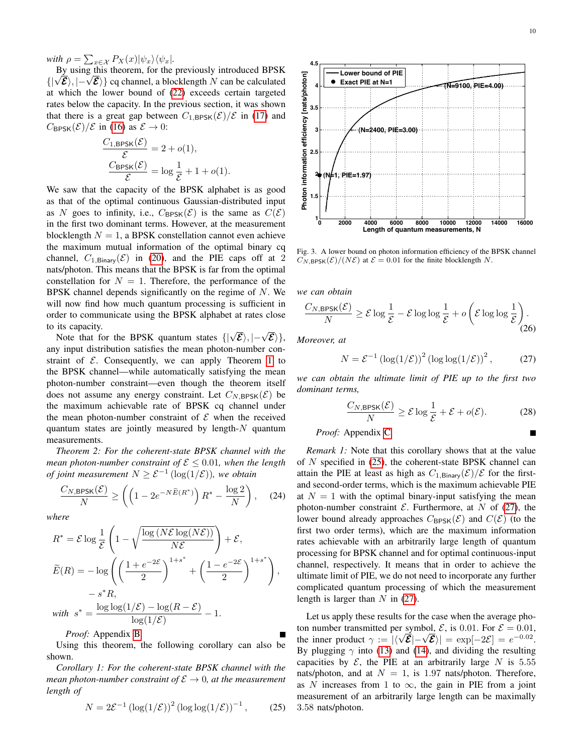*with*  $\rho = \sum_{x \in \mathcal{X}} P_X(x) |\psi_x\rangle \langle \psi_x|$ .

By using this theorem, for the previously introduced BPSK  $\{|\sqrt{\mathcal{E}}\rangle, |-\sqrt{\mathcal{E}}\rangle\}$  cq channel, a blocklength N can be calculated at which the lower bound of [\(22\)](#page-9-4) exceeds certain targeted rates below the capacity. In the previous section, it was shown that there is a great gap between  $C_{1,\text{BPSK}}(\mathcal{E})/\mathcal{E}$  in [\(17\)](#page-9-1) and  $C_{\text{BPSK}}(\mathcal{E})/\mathcal{E}$  in [\(16\)](#page-9-2) as  $\mathcal{E} \to 0$ :

$$
\frac{C_{1,\text{BPSK}}(\mathcal{E})}{\mathcal{E}} = 2 + o(1),
$$

$$
\frac{C_{\text{BPSK}}(\mathcal{E})}{\mathcal{E}} = \log \frac{1}{\mathcal{E}} + 1 + o(1).
$$

<span id="page-10-2"></span>We saw that the capacity of the BPSK alphabet is as good as that of the optimal continuous Gaussian-distributed input as N goes to infinity, i.e.,  $C_{\text{BPSK}}(\mathcal{E})$  is the same as  $C(\mathcal{E})$ in the first two dominant terms. However, at the measurement blocklength  $N = 1$ , a BPSK constellation cannot even achieve the maximum mutual information of the optimal binary cq channel,  $C_{1, \text{Binary}}(\mathcal{E})$  in [\(20\)](#page-9-3), and the PIE caps off at 2 nats/photon. This means that the BPSK is far from the optimal constellation for  $N = 1$ . Therefore, the performance of the BPSK channel depends significantly on the regime of  $N$ . We will now find how much quantum processing is sufficient in order to communicate using the BPSK alphabet at rates close to its capacity.

Note that for the BPSK quantum states  $\{|\sqrt{\mathcal{E}}\rangle, |-\sqrt{\mathcal{E}}\rangle\},\$ any input distribution satisfies the mean photon-number constraint of  $\mathcal E$ . Consequently, we can apply Theorem [1](#page-9-5) to the BPSK channel—while automatically satisfying the mean photon-number constraint—even though the theorem itself does not assume any energy constraint. Let  $C_{N, BPSK}(\mathcal{E})$  be the maximum achievable rate of BPSK cq channel under the mean photon-number constraint of  $\mathcal E$  when the received quantum states are jointly measured by length- $N$  quantum measurements.

<span id="page-10-4"></span>*Theorem 2: For the coherent-state BPSK channel with the mean photon-number constraint of*  $\mathcal{E} \leq 0.01$ *, when the length of joint measurement*  $N \geq \mathcal{E}^{-1}$  ( $\log(1/\mathcal{E})$ ), we obtain

$$
\frac{C_{N,\text{BPSK}}(\mathcal{E})}{N} \ge \left( \left( 1 - 2e^{-N\widetilde{E}(R^*)} \right) R^* - \frac{\log 2}{N} \right), \quad (24)
$$

*where*

<span id="page-10-0"></span>
$$
R^* = \mathcal{E} \log \frac{1}{\mathcal{E}} \left( 1 - \sqrt{\frac{\log (N\mathcal{E} \log(N\mathcal{E}))}{N\mathcal{E}}} \right) + \mathcal{E},
$$
  

$$
\widetilde{E}(R) = -\log \left( \left( \frac{1 + e^{-2\mathcal{E}}}{2} \right)^{1 + s^*} + \left( \frac{1 - e^{-2\mathcal{E}}}{2} \right)^{1 + s^*} \right),
$$
  

$$
- s^* R,
$$
  
with  $s^* = \frac{\log \log(1/\mathcal{E}) - \log(R - \mathcal{E})}{\log(1/\mathcal{E})} - 1.$ 

<span id="page-10-5"></span>*Proof:* Appendix [B.](#page-19-0)

Using this theorem, the following corollary can also be shown.

*Corollary 1: For the coherent-state BPSK channel with the mean photon-number constraint of*  $\mathcal{E} \to 0$ *, at the measurement length of*

$$
N = 2\mathcal{E}^{-1} \left( \log(1/\mathcal{E}) \right)^2 \left( \log \log(1/\mathcal{E}) \right)^{-1}, \quad (25)
$$



<span id="page-10-3"></span>Fig. 3. A lower bound on photon information efficiency of the BPSK channel  $C_{N, \text{BPSK}}(\mathcal{E})/(N\mathcal{E})$  at  $\mathcal{E} = 0.01$  for the finite blocklength N.

*we can obtain*

$$
\frac{C_{N,\text{BPSK}}(\mathcal{E})}{N} \ge \mathcal{E} \log \frac{1}{\mathcal{E}} - \mathcal{E} \log \log \frac{1}{\mathcal{E}} + o\left(\mathcal{E} \log \log \frac{1}{\mathcal{E}}\right).
$$
\n(26)

*Moreover, at*

<span id="page-10-1"></span>
$$
N = \mathcal{E}^{-1} \left( \log(1/\mathcal{E}) \right)^2 \left( \log \log(1/\mathcal{E}) \right)^2, \tag{27}
$$

*we can obtain the ultimate limit of PIE up to the first two dominant terms,*

$$
\frac{C_{N,\text{BPSK}}(\mathcal{E})}{N} \ge \mathcal{E} \log \frac{1}{\mathcal{E}} + \mathcal{E} + o(\mathcal{E}).\tag{28}
$$

*Proof:* Appendix [C.](#page-20-0)

*Remark 1:* Note that this corollary shows that at the value of N specified in [\(25\)](#page-10-0), the coherent-state BPSK channel can attain the PIE at least as high as  $C_{1,\text{Binary}}(\mathcal{E})/\mathcal{E}$  for the firstand second-order terms, which is the maximum achievable PIE at  $N = 1$  with the optimal binary-input satisfying the mean photon-number constraint  $\mathcal E$ . Furthermore, at N of [\(27\)](#page-10-1), the lower bound already approaches  $C_{\text{BPSK}}(\mathcal{E})$  and  $C(\mathcal{E})$  (to the first two order terms), which are the maximum information rates achievable with an arbitrarily large length of quantum processing for BPSK channel and for optimal continuous-input channel, respectively. It means that in order to achieve the ultimate limit of PIE, we do not need to incorporate any further complicated quantum processing of which the measurement length is larger than  $N$  in [\(27\)](#page-10-1).

Let us apply these results for the case when the average photon number transmitted per symbol,  $\mathcal{E}$ , is 0.01. For  $\mathcal{E} = 0.01$ , the inner product  $\gamma := |\langle \sqrt{\mathcal{E}} | - \sqrt{\mathcal{E}} \rangle| = \exp[-2\mathcal{E}] = e^{-0.02}$ . By plugging  $\gamma$  into [\(13\)](#page-8-4) and [\(14\)](#page-8-5), and dividing the resulting capacities by  $\mathcal{E}$ , the PIE at an arbitrarily large N is 5.55 nats/photon, and at  $N = 1$ , is 1.97 nats/photon. Therefore, as N increases from 1 to  $\infty$ , the gain in PIE from a joint measurement of an arbitrarily large length can be maximally 3.58 nats/photon.

 $\blacksquare$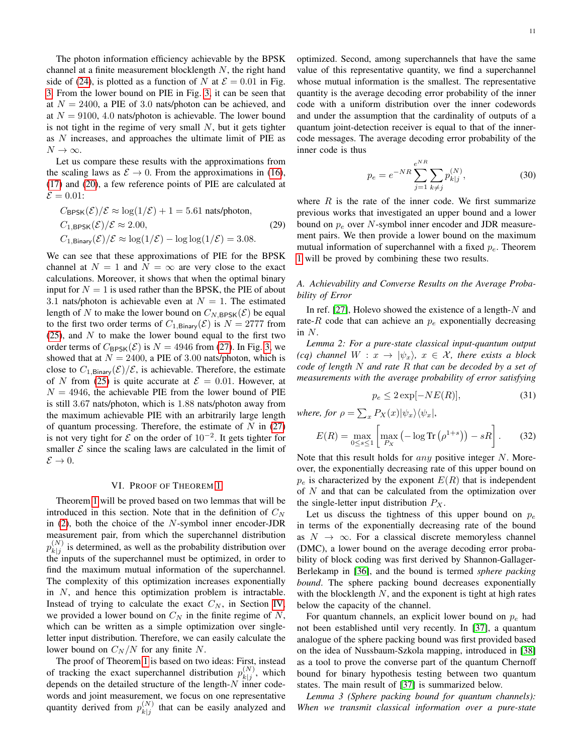The photon information efficiency achievable by the BPSK channel at a finite measurement blocklength  $N$ , the right hand side of [\(24\)](#page-10-2), is plotted as a function of N at  $\mathcal{E} = 0.01$  in Fig. [3.](#page-10-3) From the lower bound on PIE in Fig. [3,](#page-10-3) it can be seen that at  $N = 2400$ , a PIE of 3.0 nats/photon can be achieved, and at  $N = 9100, 4.0$  nats/photon is achievable. The lower bound is not tight in the regime of very small  $N$ , but it gets tighter as N increases, and approaches the ultimate limit of PIE as  $N \to \infty$ .

Let us compare these results with the approximations from the scaling laws as  $\mathcal{E} \to 0$ . From the approximations in [\(16\)](#page-9-2), [\(17\)](#page-9-1) and [\(20\)](#page-9-3), a few reference points of PIE are calculated at  $\mathcal{E} = 0.01$ :

$$
C_{\text{BPSK}}(\mathcal{E})/\mathcal{E} \approx \log(1/\mathcal{E}) + 1 = 5.61 \text{ nats/photon},
$$
  
\n
$$
C_{1,\text{BPSK}}(\mathcal{E})/\mathcal{E} \approx 2.00,
$$
  
\n
$$
C_{1,\text{Binary}}(\mathcal{E})/\mathcal{E} \approx \log(1/\mathcal{E}) - \log \log(1/\mathcal{E}) = 3.08.
$$
\n(29)

We can see that these approximations of PIE for the BPSK channel at  $N = 1$  and  $N = \infty$  are very close to the exact calculations. Moreover, it shows that when the optimal binary input for  $N = 1$  is used rather than the BPSK, the PIE of about 3.1 nats/photon is achievable even at  $N = 1$ . The estimated length of N to make the lower bound on  $C_{N, BPSK}(\mathcal{E})$  be equal to the first two order terms of  $C_{1,\text{Binary}}(\mathcal{E})$  is  $N = 2777$  from  $(25)$ , and N to make the lower bound equal to the first two order terms of  $C_{\text{BPSK}}(\mathcal{E})$  is  $N = 4946$  from [\(27\)](#page-10-1). In Fig. [3,](#page-10-3) we showed that at  $N = 2400$ , a PIE of 3.00 nats/photon, which is close to  $C_{1,\text{Binary}}(\mathcal{E})/\mathcal{E}$ , is achievable. Therefore, the estimate of N from [\(25\)](#page-10-0) is quite accurate at  $\mathcal{E} = 0.01$ . However, at  $N = 4946$ , the achievable PIE from the lower bound of PIE is still 3.67 nats/photon, which is 1.88 nats/photon away from the maximum achievable PIE with an arbitrarily large length of quantum processing. Therefore, the estimate of  $N$  in [\(27\)](#page-10-1) is not very tight for  $\mathcal E$  on the order of  $10^{-2}$ . It gets tighter for smaller  $\mathcal E$  since the scaling laws are calculated in the limit of  $\mathcal{E} \rightarrow 0.$ 

#### VI. PROOF OF THEOREM [1](#page-9-5)

<span id="page-11-0"></span>Theorem [1](#page-9-5) will be proved based on two lemmas that will be introduced in this section. Note that in the definition of  $C<sub>N</sub>$ in  $(2)$ , both the choice of the N-symbol inner encoder-JDR measurement pair, from which the superchannel distribution  $p_{k|i}^{(N)}$  $\left(k|j\right)$  is determined, as well as the probability distribution over the inputs of the superchannel must be optimized, in order to find the maximum mutual information of the superchannel. The complexity of this optimization increases exponentially in  $N$ , and hence this optimization problem is intractable. Instead of trying to calculate the exact  $C_N$ , in Section [IV,](#page-7-1) we provided a lower bound on  $C_N$  in the finite regime of N, which can be written as a simple optimization over singleletter input distribution. Therefore, we can easily calculate the lower bound on  $C_N/N$  for any finite N.

The proof of Theorem [1](#page-9-5) is based on two ideas: First, instead of tracking the exact superchannel distribution  $p_{k+i}^{(N)}$  $\binom{N}{k}$ , which depends on the detailed structure of the length- $N$  inner codewords and joint measurement, we focus on one representative quantity derived from  $p_{k|i}^{(N)}$  $\binom{N}{k}$  that can be easily analyzed and optimized. Second, among superchannels that have the same value of this representative quantity, we find a superchannel whose mutual information is the smallest. The representative quantity is the average decoding error probability of the inner code with a uniform distribution over the inner codewords and under the assumption that the cardinality of outputs of a quantum joint-detection receiver is equal to that of the innercode messages. The average decoding error probability of the inner code is thus

<span id="page-11-2"></span>
$$
p_e = e^{-NR} \sum_{j=1}^{e^{NR}} \sum_{k \neq j} p_{k|j}^{(N)},
$$
 (30)

where  $R$  is the rate of the inner code. We first summarize previous works that investigated an upper bound and a lower bound on  $p_e$  over N-symbol inner encoder and JDR measurement pairs. We then provide a lower bound on the maximum mutual information of superchannel with a fixed  $p_e$ . Theorem [1](#page-9-5) will be proved by combining these two results.

#### *A. Achievability and Converse Results on the Average Probability of Error*

In ref.  $[27]$ , Holevo showed the existence of a length- $N$  and rate-R code that can achieve an  $p_e$  exponentially decreasing in  $N$ .

<span id="page-11-3"></span>*Lemma 2: For a pure-state classical input-quantum output (cq) channel*  $W : x \to |\psi_x\rangle$ ,  $x \in \mathcal{X}$ , there exists a block *code of length* N *and rate* R *that can be decoded by a set of measurements with the average probability of error satisfying*

<span id="page-11-1"></span>
$$
p_e \le 2 \exp[-NE(R)],\tag{31}
$$

*where, for*  $\rho = \sum_{x} P_X(x) |\psi_x\rangle \langle \psi_x|$ ,

<span id="page-11-4"></span>
$$
E(R) = \max_{0 \le s \le 1} \left[ \max_{P_X} \left( -\log \text{Tr}\left(\rho^{1+s}\right) \right) - sR \right]. \tag{32}
$$

Note that this result holds for *any* positive integer N. Moreover, the exponentially decreasing rate of this upper bound on  $p_e$  is characterized by the exponent  $E(R)$  that is independent of  $N$  and that can be calculated from the optimization over the single-letter input distribution  $P_X$ .

Let us discuss the tightness of this upper bound on  $p_e$ in terms of the exponentially decreasing rate of the bound as  $N \to \infty$ . For a classical discrete memoryless channel (DMC), a lower bound on the average decoding error probability of block coding was first derived by Shannon-Gallager-Berlekamp in [\[36\]](#page-22-11), and the bound is termed *sphere packing bound*. The sphere packing bound decreases exponentially with the blocklength  $N$ , and the exponent is tight at high rates below the capacity of the channel.

For quantum channels, an explicit lower bound on  $p_e$  had not been established until very recently. In [\[37\]](#page-22-12), a quantum analogue of the sphere packing bound was first provided based on the idea of Nussbaum-Szkola mapping, introduced in [\[38\]](#page-22-13) as a tool to prove the converse part of the quantum Chernoff bound for binary hypothesis testing between two quantum states. The main result of [\[37\]](#page-22-12) is summarized below.

*Lemma 3 (Sphere packing bound for quantum channels): When we transmit classical information over a pure-state*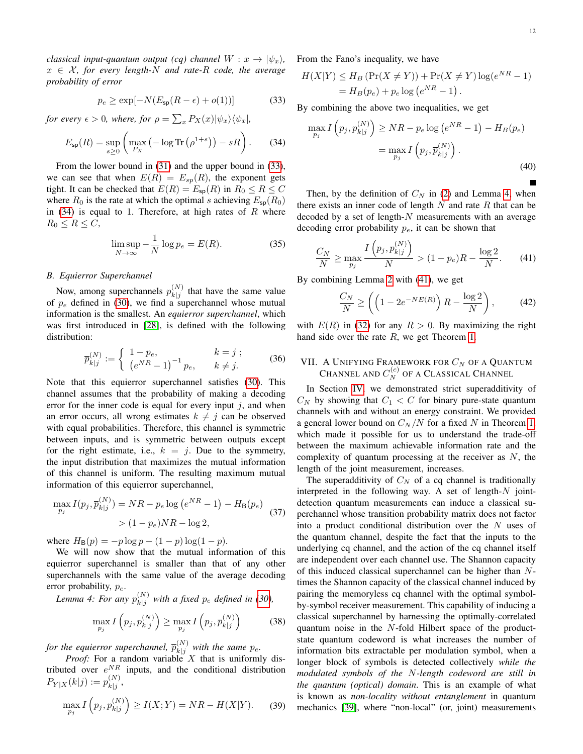*classical input-quantum output (cq) channel*  $W: x \rightarrow |\psi_x\rangle$ ,  $x \in \mathcal{X}$ , for every length-N and rate-R code, the average *probability of error*

<span id="page-12-1"></span>
$$
p_e \ge \exp[-N(E_{\text{sp}}(R - \epsilon) + o(1))]
$$
 (33)

*for every*  $\epsilon > 0$ , where, for  $\rho = \sum_x P_X(x)|\psi_x\rangle\langle\psi_x|$ ,

<span id="page-12-2"></span>
$$
E_{\text{sp}}(R) = \sup_{s \ge 0} \left( \max_{P_X} \left( -\log \text{Tr} \left( \rho^{1+s} \right) \right) - sR \right). \tag{34}
$$

From the lower bound in [\(31\)](#page-11-1) and the upper bound in [\(33\)](#page-12-1), we can see that when  $E(R) = E_{sp}(R)$ , the exponent gets tight. It can be checked that  $E(R) = E_{\text{sp}}(R)$  in  $R_0 \le R \le C$ where  $R_0$  is the rate at which the optimal s achieving  $E_{\text{sp}}(R_0)$ in  $(34)$  is equal to 1. Therefore, at high rates of R where  $R_0 \leq R \leq C$ ,

$$
\limsup_{N \to \infty} -\frac{1}{N} \log p_e = E(R). \tag{35}
$$

#### *B. Equierror Superchannel*

Now, among superchannels  $p_{k|i}^{(N)}$  $\binom{N}{k}$  that have the same value of  $p_e$  defined in [\(30\)](#page-11-2), we find a superchannel whose mutual information is the smallest. An *equierror superchannel*, which was first introduced in [\[28\]](#page-22-3), is defined with the following distribution:

$$
\overline{p}_{k|j}^{(N)} := \begin{cases}\n1 - p_e, & k = j ; \\
(e^{NR} - 1)^{-1} p_e, & k \neq j.\n\end{cases}
$$
\n(36)

<span id="page-12-5"></span>Note that this equierror superchannel satisfies [\(30\)](#page-11-2). This channel assumes that the probability of making a decoding error for the inner code is equal for every input  $j$ , and when an error occurs, all wrong estimates  $k \neq j$  can be observed with equal probabilities. Therefore, this channel is symmetric between inputs, and is symmetric between outputs except for the right estimate, i.e.,  $k = j$ . Due to the symmetry, the input distribution that maximizes the mutual information of this channel is uniform. The resulting maximum mutual information of this equierror superchannel,

$$
\max_{p_j} I(p_j, \overline{p}_{k|j}^{(N)}) = NR - p_e \log (e^{NR} - 1) - H_B(p_e)
$$
  
>  $(1 - p_e) NR - \log 2,$  (37)

where  $H_{\text{B}}(p) = -p \log p - (1 - p) \log(1 - p)$ .

We will now show that the mutual information of this equierror superchannel is smaller than that of any other superchannels with the same value of the average decoding error probability,  $p_e$ .

*Lemma 4: For any*  $p_{k|i}^{(N)}$  $\binom{N}{k|j}$  with a fixed  $p_e$  defined in [\(30\)](#page-11-2),

<span id="page-12-3"></span>
$$
\max_{p_j} I\left(p_j, p_{k|j}^{(N)}\right) \ge \max_{p_j} I\left(p_j, \overline{p}_{k|j}^{(N)}\right) \tag{38}
$$

*for the equierror superchannel,*  $\overline{p}_{k+i}^{(N)}$  $\binom{N}{k}$  with the same  $p_e$ .

*Proof:* For a random variable X that is uniformly distributed over  $e^{NR}$  inputs, and the conditional distribution  $P_{Y|X}(k|j) := p_{k|j}^{(N)}$  $\frac{1}{|k|j},$ 

$$
\max_{p_j} I(p_j, p_{k|j}^{(N)}) \ge I(X;Y) = NR - H(X|Y). \tag{39}
$$

From the Fano's inequality, we have

$$
H(X|Y) \le H_B \left( \Pr(X \ne Y) \right) + \Pr(X \ne Y) \log(e^{NR} - 1)
$$
  
=  $H_B(p_e) + p_e \log(e^{NR} - 1)$ .

By combining the above two inequalities, we get

$$
\max_{p_j} I(p_j, p_{k|j}^{(N)}) \ge NR - p_e \log(e^{NR} - 1) - H_B(p_e)
$$
  
= 
$$
\max_{p_j} I(p_j, \overline{p}_{k|j}^{(N)}) .
$$
 (40)

Then, by the definition of  $C_N$  in [\(2\)](#page-4-1) and Lemma [4,](#page-12-3) when there exists an inner code of length  $N$  and rate  $R$  that can be decoded by a set of length- $N$  measurements with an average decoding error probability  $p_e$ , it can be shown that

<span id="page-12-4"></span>
$$
\frac{C_N}{N} \ge \max_{p_j} \frac{I(p_j, p_{k|j}^{(N)})}{N} > (1 - p_e)R - \frac{\log 2}{N}.
$$
 (41)

By combining Lemma [2](#page-11-3) with [\(41\)](#page-12-4), we get

$$
\frac{C_N}{N} \ge \left( \left( 1 - 2e^{-NE(R)} \right) R - \frac{\log 2}{N} \right),\tag{42}
$$

with  $E(R)$  in [\(32\)](#page-11-4) for any  $R > 0$ . By maximizing the right hand side over the rate R, we get Theorem [1.](#page-9-5)

### <span id="page-12-0"></span>VII. A UNIFYING FRAMEWORK FOR  $C_{N}$  of a Quantum CHANNEL AND  $C_{N}^{(c)}$  of a Classical Channel

In Section [IV,](#page-7-1) we demonstrated strict superadditivity of  $C_N$  by showing that  $C_1 < C$  for binary pure-state quantum channels with and without an energy constraint. We provided a general lower bound on  $C_N/N$  for a fixed N in Theorem [1,](#page-9-5) which made it possible for us to understand the trade-off between the maximum achievable information rate and the complexity of quantum processing at the receiver as  $N$ , the length of the joint measurement, increases.

The superadditivity of  $C_N$  of a cq channel is traditionally interpreted in the following way. A set of length- $N$  jointdetection quantum measurements can induce a classical superchannel whose transition probability matrix does not factor into a product conditional distribution over the  $N$  uses of the quantum channel, despite the fact that the inputs to the underlying cq channel, and the action of the cq channel itself are independent over each channel use. The Shannon capacity of this induced classical superchannel can be higher than Ntimes the Shannon capacity of the classical channel induced by pairing the memoryless cq channel with the optimal symbolby-symbol receiver measurement. This capability of inducing a classical superchannel by harnessing the optimally-correlated quantum noise in the N-fold Hilbert space of the productstate quantum codeword is what increases the number of information bits extractable per modulation symbol, when a longer block of symbols is detected collectively *while the modulated symbols of the* N*-length codeword are still in the quantum (optical) domain*. This is an example of what is known as *non-locality without entanglement* in quantum mechanics [\[39\]](#page-22-14), where "non-local" (or, joint) measurements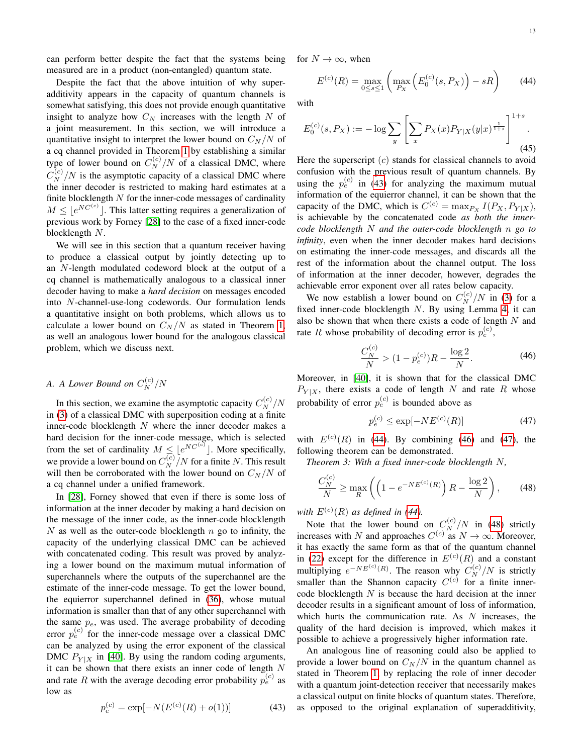can perform better despite the fact that the systems being measured are in a product (non-entangled) quantum state.

Despite the fact that the above intuition of why superadditivity appears in the capacity of quantum channels is somewhat satisfying, this does not provide enough quantitative insight to analyze how  $C_N$  increases with the length N of a joint measurement. In this section, we will introduce a quantitative insight to interpret the lower bound on  $C_N/N$  of a cq channel provided in Theorem [1](#page-9-5) by establishing a similar type of lower bound on  $C_N^{(c)}/N$  of a classical DMC, where  $C_N^{(c)}/N$  is the asymptotic capacity of a classical DMC where the inner decoder is restricted to making hard estimates at a finite blocklength  $N$  for the inner-code messages of cardinality  $M \leq \lfloor e^{NC^{(c)}} \rfloor$ . This latter setting requires a generalization of previous work by Forney [\[28\]](#page-22-3) to the case of a fixed inner-code blocklength N.

We will see in this section that a quantum receiver having to produce a classical output by jointly detecting up to an N-length modulated codeword block at the output of a cq channel is mathematically analogous to a classical inner decoder having to make a *hard decision* on messages encoded into N-channel-use-long codewords. Our formulation lends a quantitative insight on both problems, which allows us to calculate a lower bound on  $C_N/N$  as stated in Theorem [1,](#page-9-5) as well an analogous lower bound for the analogous classical problem, which we discuss next.

## A. A Lower Bound on  $C_N^{(c)}/N$

In this section, we examine the asymptotic capacity  $C_N^{(c)}/N$ in [\(3\)](#page-5-2) of a classical DMC with superposition coding at a finite inner-code blocklength  $N$  where the inner decoder makes a hard decision for the inner-code message, which is selected from the set of cardinality  $M \leq e^{NC^{(c)}}$ . More specifically, we provide a lower bound on  $C_N^{(c)}/N$  for a finite N. This result will then be corroborated with the lower bound on  $C_N/N$  of a cq channel under a unified framework.

In [\[28\]](#page-22-3), Forney showed that even if there is some loss of information at the inner decoder by making a hard decision on the message of the inner code, as the inner-code blocklength  $N$  as well as the outer-code blocklength  $n$  go to infinity, the capacity of the underlying classical DMC can be achieved with concatenated coding. This result was proved by analyzing a lower bound on the maximum mutual information of superchannels where the outputs of the superchannel are the estimate of the inner-code message. To get the lower bound, the equierror superchannel defined in [\(36\)](#page-12-5), whose mutual information is smaller than that of any other superchannel with the same  $p_e$ , was used. The average probability of decoding error  $p_e^{(c)}$  for the inner-code message over a classical DMC can be analyzed by using the error exponent of the classical DMC  $P_{Y|X}$  in [\[40\]](#page-22-15). By using the random coding arguments, it can be shown that there exists an inner code of length  $N$ and rate R with the average decoding error probability  $p_e^{(c)}$  as low as

<span id="page-13-0"></span>
$$
p_e^{(c)} = \exp[-N(E^{(c)}(R) + o(1))]
$$
 (43)

for  $N \to \infty$ , when

<span id="page-13-1"></span>
$$
E^{(c)}(R) = \max_{0 \le s \le 1} \left( \max_{P_X} \left( E_0^{(c)}(s, P_X) \right) - sR \right) \tag{44}
$$

with

$$
E_0^{(c)}(s, P_X) := -\log \sum_{y} \left[ \sum_{x} P_X(x) P_{Y|X}(y|x)^{\frac{1}{1+s}} \right]^{1+s}.
$$
\n(45)

Here the superscript  $(c)$  stands for classical channels to avoid confusion with the previous result of quantum channels. By using the  $p_e^{(c)}$  in [\(43\)](#page-13-0) for analyzing the maximum mutual information of the equierror channel, it can be shown that the capacity of the DMC, which is  $C^{(c)} = \max_{P_X} I(P_X, P_{Y|X}),$ is achievable by the concatenated code *as both the innercode blocklength* N *and the outer-code blocklength* n *go to infinity*, even when the inner decoder makes hard decisions on estimating the inner-code messages, and discards all the rest of the information about the channel output. The loss of information at the inner decoder, however, degrades the achievable error exponent over all rates below capacity.

We now establish a lower bound on  $C_N^{(c)}/N$  in [\(3\)](#page-5-2) for a fixed inner-code blocklength N. By using Lemma [4,](#page-12-3) it can also be shown that when there exists a code of length  $N$  and rate R whose probability of decoding error is  $p_e^{(c)}$ ,

$$
\frac{C_N^{(c)}}{N} > (1 - p_e^{(c)})R - \frac{\log 2}{N}.\tag{46}
$$

<span id="page-13-2"></span>Moreover, in [\[40\]](#page-22-15), it is shown that for the classical DMC  $P_{Y|X}$ , there exists a code of length N and rate R whose probability of error  $p_e^{(c)}$  is bounded above as

<span id="page-13-5"></span><span id="page-13-3"></span>
$$
p_e^{(c)} \le \exp[-NE^{(c)}(R)]\tag{47}
$$

with  $E^{(c)}(R)$  in [\(44\)](#page-13-1). By combining [\(46\)](#page-13-2) and [\(47\)](#page-13-3), the following theorem can be demonstrated.

*Theorem 3: With a fixed inner-code blocklength* N*,*

<span id="page-13-4"></span>
$$
\frac{C_N^{(c)}}{N} \ge \max_R \left( \left( 1 - e^{-NE^{(c)}(R)} \right) R - \frac{\log 2}{N} \right),\tag{48}
$$

with  $E^{(c)}(R)$  as defined in [\(44\)](#page-13-1).

Note that the lower bound on  $C_N^{(c)}/N$  in [\(48\)](#page-13-4) strictly increases with N and approaches  $C^{(c)}$  as  $N \to \infty$ . Moreover, it has exactly the same form as that of the quantum channel in [\(22\)](#page-9-4) except for the difference in  $E^{(c)}(R)$  and a constant multiplying  $e^{-NE^{(c)}(R)}$ . The reason why  $C_N^{(c)}/N$  is strictly smaller than the Shannon capacity  $C^{(c)}$  for a finite innercode blocklength  $N$  is because the hard decision at the inner decoder results in a significant amount of loss of information, which hurts the communication rate. As  $N$  increases, the quality of the hard decision is improved, which makes it possible to achieve a progressively higher information rate.

An analogous line of reasoning could also be applied to provide a lower bound on  $C_N/N$  in the quantum channel as stated in Theorem [1,](#page-9-5) by replacing the role of inner decoder with a quantum joint-detection receiver that necessarily makes a classical output on finite blocks of quantum states. Therefore, as opposed to the original explanation of superadditivity,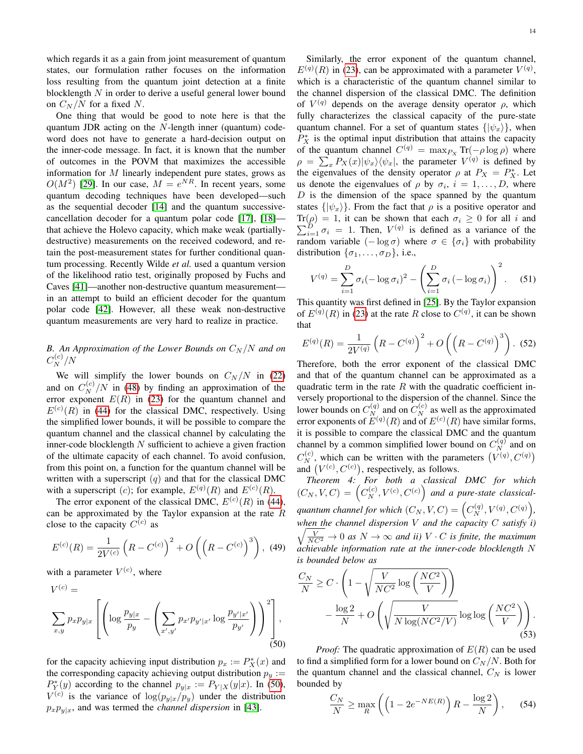which regards it as a gain from joint measurement of quantum states, our formulation rather focuses on the information loss resulting from the quantum joint detection at a finite blocklength  $N$  in order to derive a useful general lower bound on  $C_N/N$  for a fixed N.

One thing that would be good to note here is that the quantum JDR acting on the N-length inner (quantum) codeword does not have to generate a hard-decision output on the inner-code message. In fact, it is known that the number of outcomes in the POVM that maximizes the accessible information for M linearly independent pure states, grows as  $O(M^2)$  [\[29\]](#page-22-4). In our case,  $M = e^{NR}$ . In recent years, some quantum decoding techniques have been developed—such as the sequential decoder [\[14\]](#page-21-13) and the quantum successivecancellation decoder for a quantum polar code [\[17\]](#page-21-16), [\[18\]](#page-21-17) that achieve the Holevo capacity, which make weak (partiallydestructive) measurements on the received codeword, and retain the post-measurement states for further conditional quantum processing. Recently Wilde *et al.* used a quantum version of the likelihood ratio test, originally proposed by Fuchs and Caves [\[41\]](#page-22-16)—another non-destructive quantum measurement in an attempt to build an efficient decoder for the quantum polar code [\[42\]](#page-22-17). However, all these weak non-destructive quantum measurements are very hard to realize in practice.

## *B. An Approximation of the Lower Bounds on*  $C_N/N$  *and on*  $C_N^{(c)}/N$

We will simplify the lower bounds on  $C_N / N$  in [\(22\)](#page-9-4) and on  $C_N^{(c)}/N$  in [\(48\)](#page-13-4) by finding an approximation of the error exponent  $E(R)$  in [\(23\)](#page-9-6) for the quantum channel and  $E^{(c)}(R)$  in [\(44\)](#page-13-1) for the classical DMC, respectively. Using the simplified lower bounds, it will be possible to compare the quantum channel and the classical channel by calculating the inner-code blocklength  $N$  sufficient to achieve a given fraction of the ultimate capacity of each channel. To avoid confusion, from this point on, a function for the quantum channel will be written with a superscript  $(q)$  and that for the classical DMC with a superscript (c); for example,  $E^{(q)}(R)$  and  $E^{(c)}(R)$ .

The error exponent of the classical DMC,  $E^{(c)}(R)$  in [\(44\)](#page-13-1), can be approximated by the Taylor expansion at the rate  $R$ close to the capacity  $C^{(c)}$  as

<span id="page-14-1"></span>
$$
E^{(c)}(R) = \frac{1}{2V^{(c)}} \left( R - C^{(c)} \right)^2 + O\left( \left( R - C^{(c)} \right)^3 \right), \tag{49}
$$

with a parameter  $V^{(c)}$ , where

<span id="page-14-0"></span>
$$
V^{(c)} = \sum_{x,y} p_x p_{y|x} \left[ \left( \log \frac{p_{y|x}}{p_y} - \left( \sum_{x',y'} p_{x'} p_{y'|x'} \log \frac{p_{y'|x'}}{p_{y'}} \right) \right)^2 \right],
$$
(50)

for the capacity achieving input distribution  $p_x := P_X^*(x)$  and the corresponding capacity achieving output distribution  $p_y :=$  $P_Y^*(y)$  according to the channel  $p_{y|x} := P_{Y|X}(y|x)$ . In [\(50\)](#page-14-0),  $V^{(c)}$  is the variance of  $\log(p_{y|x}/p_y)$  under the distribution  $p_x p_{y|x}$ , and was termed the *channel dispersion* in [\[43\]](#page-22-18).

Similarly, the error exponent of the quantum channel,  $E^{(q)}(R)$  in [\(23\)](#page-9-6), can be approximated with a parameter  $V^{(q)}$ , which is a characteristic of the quantum channel similar to the channel dispersion of the classical DMC. The definition of  $V^{(q)}$  depends on the average density operator  $\rho$ , which fully characterizes the classical capacity of the pure-state quantum channel. For a set of quantum states  $\{|\psi_x\rangle\}$ , when  $P_X^*$  is the optimal input distribution that attains the capacity of the quantum channel  $C^{(q)} = \max_{P_X} \text{Tr}(-\rho \log \rho)$  where  $\rho = \sum_{x} P_X(x) |\psi_x\rangle\langle\psi_x|$ , the parameter  $V^{(q)}$  is defined by the eigenvalues of the density operator  $\rho$  at  $P_X = P_X^*$ . Let us denote the eigenvalues of  $\rho$  by  $\sigma_i$ ,  $i = 1, \ldots, D$ , where  $D$  is the dimension of the space spanned by the quantum states  $\{|\psi_x\rangle\}$ . From the fact that  $\rho$  is a positive operator and Tr P  $(\rho) = 1$ , it can be shown that each  $\sigma_i \ge 0$  for all *i* and  $D$ <br> $\sigma_i = 1$ . Then,  $V^{(q)}$  is defined as a variance of the random variable  $(-\log \sigma)$  where  $\sigma \in {\{\sigma_i\}}$  with probability distribution  $\{\sigma_1, \ldots, \sigma_D\}$ , i.e.,

<span id="page-14-6"></span>
$$
V^{(q)} = \sum_{i=1}^{D} \sigma_i (-\log \sigma_i)^2 - \left(\sum_{i=1}^{D} \sigma_i (-\log \sigma_i)\right)^2.
$$
 (51)

This quantity was first defined in [\[25\]](#page-22-0). By the Taylor expansion of  $E^{(q)}(R)$  in [\(23\)](#page-9-6) at the rate R close to  $C^{(q)}$ , it can be shown that

<span id="page-14-2"></span>
$$
E^{(q)}(R) = \frac{1}{2V^{(q)}} \left( R - C^{(q)} \right)^2 + O\left( \left( R - C^{(q)} \right)^3 \right). \tag{52}
$$

Therefore, both the error exponent of the classical DMC and that of the quantum channel can be approximated as a quadratic term in the rate  $R$  with the quadratic coefficient inversely proportional to the dispersion of the channel. Since the lower bounds on  $C_{N}^{(q)}$  and on  $C_{N}^{(c)}$  as well as the approximated error exponents of  $E^{(q)}(R)$  and of  $E^{(c)}(R)$  have similar forms, it is possible to compare the classical DMC and the quantum channel by a common simplified lower bound on  $C_N^{(q)}$  and on  $C_N^{(c)}$ , which can be written with the parameters  $(V^{(q)}, C^{(q)})$ and  $(V^{(c)}, C^{(c)})$ , respectively, as follows.

<span id="page-14-5"></span>*Theorem 4: For both a classical DMC for which*  $(C_N, V, C) = (C_N^{(c)}, V^{(c)}, C^{(c)})$  and a pure-state classicalquantum channel for which  $(C_N, V, C) = (C_N^{(q)}, V^{(q)}, C^{(q)}),$ *when the channel dispersion* V *and the capacity* C *satisfy i)*  $\sqrt{\frac{V}{NC^2}} \to 0$  *as*  $N \to \infty$  *and ii*)  $V \cdot C$  *is finite, the maximum achievable information rate at the inner-code blocklength* N *is bounded below as*

<span id="page-14-4"></span>
$$
\frac{C_N}{N} \ge C \cdot \left(1 - \sqrt{\frac{V}{NC^2} \log\left(\frac{NC^2}{V}\right)}\right) - \frac{\log 2}{N} + O\left(\sqrt{\frac{V}{N \log(NC^2/V)}} \log \log\left(\frac{NC^2}{V}\right)\right).
$$
\n(53)

*Proof:* The quadratic approximation of  $E(R)$  can be used to find a simplified form for a lower bound on  $C_N/N$ . Both for the quantum channel and the classical channel,  $C_N$  is lower bounded by

<span id="page-14-3"></span>
$$
\frac{C_N}{N} \ge \max_R \left( \left( 1 - 2e^{-NE(R)} \right) R - \frac{\log 2}{N} \right), \quad (54)
$$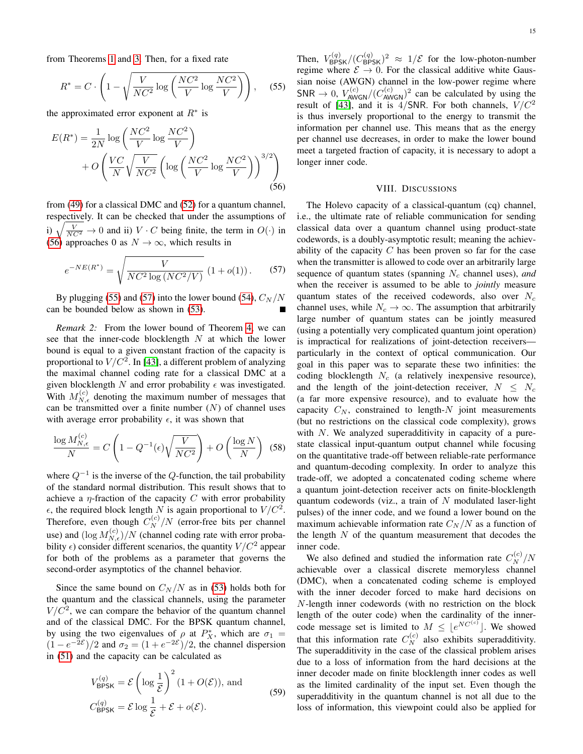from Theorems [1](#page-9-5) and [3.](#page-13-5) Then, for a fixed rate

<span id="page-15-2"></span>
$$
R^* = C \cdot \left(1 - \sqrt{\frac{V}{NC^2} \log \left(\frac{NC^2}{V} \log \frac{NC^2}{V}\right)}\right), \quad (55)
$$

the approximated error exponent at  $R^*$  is

<span id="page-15-1"></span>
$$
E(R^*) = \frac{1}{2N} \log \left( \frac{NC^2}{V} \log \frac{NC^2}{V} \right)
$$

$$
+ O\left( \frac{VC}{N} \sqrt{\frac{V}{NC^2}} \left( \log \left( \frac{NC^2}{V} \log \frac{NC^2}{V} \right) \right)^{3/2} \right)
$$
(56)

from [\(49\)](#page-14-1) for a classical DMC and [\(52\)](#page-14-2) for a quantum channel, respectively. It can be checked that under the assumptions of i)  $\sqrt{\frac{V}{NC^2}} \to 0$  and ii)  $V \cdot C$  being finite, the term in  $O(\cdot)$  in [\(56\)](#page-15-1) approaches 0 as  $N \to \infty$ , which results in

<span id="page-15-3"></span>
$$
e^{-NE(R^*)} = \sqrt{\frac{V}{NC^2 \log (NC^2/V)}} \left(1 + o(1)\right). \tag{57}
$$

By plugging [\(55\)](#page-15-2) and [\(57\)](#page-15-3) into the lower bound [\(54\)](#page-14-3),  $C_N/N$ can be bounded below as shown in [\(53\)](#page-14-4).

*Remark 2:* From the lower bound of Theorem [4,](#page-14-5) we can see that the inner-code blocklength  $N$  at which the lower bound is equal to a given constant fraction of the capacity is proportional to  $V/C^2$ . In [\[43\]](#page-22-18), a different problem of analyzing the maximal channel coding rate for a classical DMC at a given blocklength N and error probability  $\epsilon$  was investigated. With  $M_{N,\epsilon}^{(c)}$  denoting the maximum number of messages that can be transmitted over a finite number  $(N)$  of channel uses with average error probability  $\epsilon$ , it was shown that

$$
\frac{\log M_{N,\epsilon}^{(c)}}{N} = C \left( 1 - Q^{-1}(\epsilon) \sqrt{\frac{V}{NC^2}} \right) + O\left(\frac{\log N}{N}\right) \tag{58}
$$

where  $Q^{-1}$  is the inverse of the  $Q$ -function, the tail probability of the standard normal distribution. This result shows that to achieve a  $\eta$ -fraction of the capacity C with error probability  $\epsilon$ , the required block length N is again proportional to  $V/C^2$ . Therefore, even though  $C_N^{(c)}/N$  (error-free bits per channel use) and  $(\log M_{N,\epsilon}^{(c)})/N$  (channel coding rate with error probability  $\epsilon$ ) consider different scenarios, the quantity  $V/C^2$  appear for both of the problems as a parameter that governs the second-order asymptotics of the channel behavior.

Since the same bound on  $C_N/N$  as in [\(53\)](#page-14-4) holds both for the quantum and the classical channels, using the parameter  $V/C<sup>2</sup>$ , we can compare the behavior of the quantum channel and of the classical DMC. For the BPSK quantum channel, by using the two eigenvalues of  $\rho$  at  $P_X^*$ , which are  $\sigma_1 =$  $(1 - e^{-2\mathcal{E}})/2$  and  $\sigma_2 = (1 + e^{-2\mathcal{E}})/2$ , the channel dispersion in [\(51\)](#page-14-6) and the capacity can be calculated as

$$
V_{\text{BPSK}}^{(q)} = \mathcal{E}\left(\log\frac{1}{\mathcal{E}}\right)^2 (1 + O(\mathcal{E})), \text{ and}
$$
  
\n
$$
C_{\text{BPSK}}^{(q)} = \mathcal{E}\log\frac{1}{\mathcal{E}} + \mathcal{E} + o(\mathcal{E}).
$$
\n(59)

Then,  $V_{\mathsf{BPSK}}^{(q)}/(C_{\mathsf{BPSK}}^{(q)})^2 \approx 1/\mathcal{E}$  for the low-photon-number regime where  $\mathcal{E} \rightarrow 0$ . For the classical additive white Gaussian noise (AWGN) channel in the low-power regime where  $SNR \rightarrow 0$ ,  $V_{AWGN}^{(c)}/(C_{AWGN}^{(c)})^2$  can be calculated by using the result of [\[43\]](#page-22-18), and it is  $4/SNR$ . For both channels,  $V/C<sup>2</sup>$ is thus inversely proportional to the energy to transmit the information per channel use. This means that as the energy per channel use decreases, in order to make the lower bound meet a targeted fraction of capacity, it is necessary to adopt a longer inner code.

#### VIII. DISCUSSIONS

<span id="page-15-0"></span>The Holevo capacity of a classical-quantum (cq) channel, i.e., the ultimate rate of reliable communication for sending classical data over a quantum channel using product-state codewords, is a doubly-asymptotic result; meaning the achievability of the capacity  $C$  has been proven so far for the case when the transmitter is allowed to code over an arbitrarily large sequence of quantum states (spanning  $N_c$  channel uses), *and* when the receiver is assumed to be able to *jointly* measure quantum states of the received codewords, also over  $N_c$ channel uses, while  $N_c \rightarrow \infty$ . The assumption that arbitrarily large number of quantum states can be jointly measured (using a potentially very complicated quantum joint operation) is impractical for realizations of joint-detection receivers particularly in the context of optical communication. Our goal in this paper was to separate these two infinities: the coding blocklength  $N_c$  (a relatively inexpensive resource), and the length of the joint-detection receiver,  $N \leq N_c$ (a far more expensive resource), and to evaluate how the capacity  $C_N$ , constrained to length-N joint measurements (but no restrictions on the classical code complexity), grows with  $N$ . We analyzed superadditivity in capacity of a purestate classical input-quantum output channel while focusing on the quantitative trade-off between reliable-rate performance and quantum-decoding complexity. In order to analyze this trade-off, we adopted a concatenated coding scheme where a quantum joint-detection receiver acts on finite-blocklength quantum codewords (viz., a train of  $N$  modulated laser-light pulses) of the inner code, and we found a lower bound on the maximum achievable information rate  $C_N/N$  as a function of the length  $N$  of the quantum measurement that decodes the inner code.

We also defined and studied the information rate  $C_N^{(c)}/N$ achievable over a classical discrete memoryless channel (DMC), when a concatenated coding scheme is employed with the inner decoder forced to make hard decisions on N-length inner codewords (with no restriction on the block length of the outer code) when the cardinality of the innercode message set is limited to  $M \leq \lfloor e^{NC^{(c)}} \rfloor$ . We showed that this information rate  $C_N^{(c)}$  also exhibits superadditivity. The superadditivity in the case of the classical problem arises due to a loss of information from the hard decisions at the inner decoder made on finite blocklength inner codes as well as the limited cardinality of the input set. Even though the superadditivity in the quantum channel is not all due to the loss of information, this viewpoint could also be applied for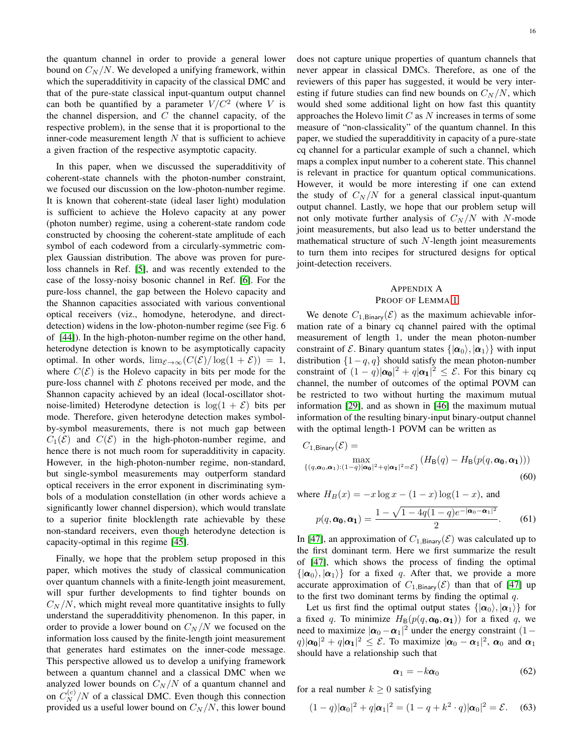16

the quantum channel in order to provide a general lower bound on  $C_N/N$ . We developed a unifying framework, within which the superadditivity in capacity of the classical DMC and that of the pure-state classical input-quantum output channel can both be quantified by a parameter  $V/C^2$  (where V is the channel dispersion, and  $C$  the channel capacity, of the respective problem), in the sense that it is proportional to the inner-code measurement length  $N$  that is sufficient to achieve a given fraction of the respective asymptotic capacity.

In this paper, when we discussed the superadditivity of coherent-state channels with the photon-number constraint, we focused our discussion on the low-photon-number regime. It is known that coherent-state (ideal laser light) modulation is sufficient to achieve the Holevo capacity at any power (photon number) regime, using a coherent-state random code constructed by choosing the coherent-state amplitude of each symbol of each codeword from a circularly-symmetric complex Gaussian distribution. The above was proven for pureloss channels in Ref. [\[5\]](#page-21-2), and was recently extended to the case of the lossy-noisy bosonic channel in Ref. [\[6\]](#page-21-3). For the pure-loss channel, the gap between the Holevo capacity and the Shannon capacities associated with various conventional optical receivers (viz., homodyne, heterodyne, and directdetection) widens in the low-photon-number regime (see Fig. 6 of [\[44\]](#page-22-19)). In the high-photon-number regime on the other hand, heterodyne detection is known to be asymptotically capacity optimal. In other words,  $\lim_{\mathcal{E} \to \infty} (C(\mathcal{E})/\log(1+\mathcal{E})) = 1$ , where  $C(\mathcal{E})$  is the Holevo capacity in bits per mode for the pure-loss channel with  $\mathcal E$  photons received per mode, and the Shannon capacity achieved by an ideal (local-oscillator shotnoise-limited) Heterodyne detection is  $log(1 + \mathcal{E})$  bits per mode. Therefore, given heterodyne detection makes symbolby-symbol measurements, there is not much gap between  $C_1(\mathcal{E})$  and  $C(\mathcal{E})$  in the high-photon-number regime, and hence there is not much room for superadditivity in capacity. However, in the high-photon-number regime, non-standard, but single-symbol measurements may outperform standard optical receivers in the error exponent in discriminating symbols of a modulation constellation (in other words achieve a significantly lower channel dispersion), which would translate to a superior finite blocklength rate achievable by these non-standard receivers, even though heterodyne detection is capacity-optimal in this regime [\[45\]](#page-22-20).

Finally, we hope that the problem setup proposed in this paper, which motives the study of classical communication over quantum channels with a finite-length joint measurement, will spur further developments to find tighter bounds on  $C_N/N$ , which might reveal more quantitative insights to fully understand the superadditivity phenomenon. In this paper, in order to provide a lower bound on  $C_N/N$  we focused on the information loss caused by the finite-length joint measurement that generates hard estimates on the inner-code message. This perspective allowed us to develop a unifying framework between a quantum channel and a classical DMC when we analyzed lower bounds on  $C_N/N$  of a quantum channel and on  $C_N^{(c)}/N$  of a classical DMC. Even though this connection provided us a useful lower bound on  $C_N/N$ , this lower bound

does not capture unique properties of quantum channels that never appear in classical DMCs. Therefore, as one of the reviewers of this paper has suggested, it would be very interesting if future studies can find new bounds on  $C_N/N$ , which would shed some additional light on how fast this quantity approaches the Holevo limit  $C$  as  $N$  increases in terms of some measure of "non-classicality" of the quantum channel. In this paper, we studied the superadditivity in capacity of a pure-state cq channel for a particular example of such a channel, which maps a complex input number to a coherent state. This channel is relevant in practice for quantum optical communications. However, it would be more interesting if one can extend the study of  $C_N/N$  for a general classical input-quantum output channel. Lastly, we hope that our problem setup will not only motivate further analysis of  $C_N/N$  with N-mode joint measurements, but also lead us to better understand the mathematical structure of such N-length joint measurements to turn them into recipes for structured designs for optical joint-detection receivers.

## <span id="page-16-0"></span>APPENDIX A

#### PROOF OF LEMMA [1](#page-9-7)

We denote  $C_{1,\text{Binary}}(\mathcal{E})$  as the maximum achievable information rate of a binary cq channel paired with the optimal measurement of length 1, under the mean photon-number constraint of E. Binary quantum states  $\{|\alpha_0\rangle, |\alpha_1\rangle\}$  with input distribution  $\{1-q, q\}$  should satisfy the mean photon-number constraint of  $(1 - q)|\boldsymbol{\alpha_0}|^2 + q|\boldsymbol{\alpha_1}|^2 \leq \mathcal{E}$ . For this binary cq channel, the number of outcomes of the optimal POVM can be restricted to two without hurting the maximum mutual information [\[29\]](#page-22-4), and as shown in [\[46\]](#page-22-21) the maximum mutual information of the resulting binary-input binary-output channel with the optimal length-1 POVM can be written as

$$
C_{1,\text{Binary}}(\mathcal{E}) = \max_{\{(q,\boldsymbol{\alpha}_0,\boldsymbol{\alpha}_1):(1-q)|\boldsymbol{\alpha}_0|^2+q|\boldsymbol{\alpha}_1|^2=\mathcal{E}\}} (H_{\text{B}}(q) - H_{\text{B}}(p(q,\boldsymbol{\alpha}_0,\boldsymbol{\alpha}_1)))
$$
\n(60)

where  $H_B(x) = -x \log x - (1 - x) \log(1 - x)$ , and

$$
p(q, \alpha_0, \alpha_1) = \frac{1 - \sqrt{1 - 4q(1 - q)e^{-|\alpha_0 - \alpha_1|^2}}}{2}.
$$
 (61)

In [\[47\]](#page-22-22), an approximation of  $C_{1,\text{Binary}}(\mathcal{E})$  was calculated up to the first dominant term. Here we first summarize the result of [\[47\]](#page-22-22), which shows the process of finding the optimal  $\{|\alpha_0\rangle, |\alpha_1\rangle\}$  for a fixed q. After that, we provide a more accurate approximation of  $C_{1, \text{Binary}}(\mathcal{E})$  than that of [\[47\]](#page-22-22) up to the first two dominant terms by finding the optimal  $q$ .

Let us first find the optimal output states  $\{|\alpha_0\rangle, |\alpha_1\rangle\}$  for a fixed q. To minimize  $H_B(p(q, \alpha_0, \alpha_1))$  for a fixed q, we need to maximize  $|\boldsymbol{\alpha}_0 - \boldsymbol{\alpha}_1|^2$  under the energy constraint  $(1 - \alpha_1)^2$  $|q\rangle |\alpha_0|^2 + q |\alpha_1|^2 \leq \mathcal{E}$ . To maximize  $|\alpha_0 - \alpha_1|^2$ ,  $\alpha_0$  and  $\alpha_1$ should have a relationship such that

<span id="page-16-1"></span>
$$
\boldsymbol{\alpha}_1 = -k \boldsymbol{\alpha}_0 \tag{62}
$$

for a real number  $k \geq 0$  satisfying

<span id="page-16-2"></span>
$$
(1-q)|\boldsymbol{\alpha}_0|^2 + q|\boldsymbol{\alpha}_1|^2 = (1-q+k^2 \cdot q)|\boldsymbol{\alpha}_0|^2 = \mathcal{E}.
$$
 (63)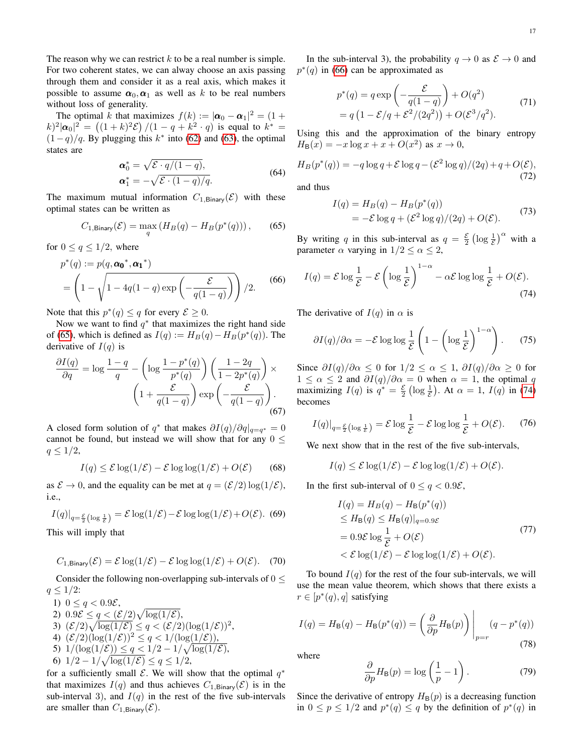The reason why we can restrict  $k$  to be a real number is simple. For two coherent states, we can alway choose an axis passing through them and consider it as a real axis, which makes it possible to assume  $\alpha_0, \alpha_1$  as well as k to be real numbers without loss of generality.

The optimal k that maximizes  $f(k) := |\boldsymbol{\alpha}_0 - \boldsymbol{\alpha}_1|^2 = (1 +$  $(k)^2 |\alpha_0|^2 = ((1+k)^2 \mathcal{E}) / (1-q+k^2 \cdot q)$  is equal to  $k^* =$  $(1-q)/q$ . By plugging this  $k^*$  into [\(62\)](#page-16-1) and [\(63\)](#page-16-2), the optimal states are

$$
\mathbf{\alpha}_0^* = \sqrt{\mathcal{E} \cdot q/(1-q)},
$$
  
\n
$$
\mathbf{\alpha}_1^* = -\sqrt{\mathcal{E} \cdot (1-q)/q}.
$$
\n(64)

The maximum mutual information  $C_{1,\text{Binary}}(\mathcal{E})$  with these optimal states can be written as

<span id="page-17-0"></span>
$$
C_{1,\text{Binary}}(\mathcal{E}) = \max_{q} \left( H_B(q) - H_B(p^*(q)) \right), \tag{65}
$$

for  $0 \le q \le 1/2$ , where

<span id="page-17-1"></span>
$$
p^*(q) := p(q, \alpha_0^*, \alpha_1^*)
$$
  
= 
$$
\left(1 - \sqrt{1 - 4q(1-q)\exp\left(-\frac{\mathcal{E}}{q(1-q)}\right)}\right)/2.
$$
 (66)

Note that this  $p^*(q) \leq q$  for every  $\mathcal{E} \geq 0$ .

Now we want to find  $q^*$  that maximizes the right hand side of [\(65\)](#page-17-0), which is defined as  $I(q) := H_B(q) - H_B(p^*(q))$ . The derivative of  $I(q)$  is

$$
\frac{\partial I(q)}{\partial q} = \log \frac{1-q}{q} - \left(\log \frac{1-p^*(q)}{p^*(q)}\right) \left(\frac{1-2q}{1-2p^*(q)}\right) \times \left(1 + \frac{\mathcal{E}}{q(1-q)}\right) \exp\left(-\frac{\mathcal{E}}{q(1-q)}\right). \tag{67}
$$

A closed form solution of  $q^*$  that makes  $\partial I(q)/\partial q|_{q=q^*} = 0$ cannot be found, but instead we will show that for any  $0 \leq$  $q \leq 1/2$ ,

$$
I(q) \le \mathcal{E} \log(1/\mathcal{E}) - \mathcal{E} \log \log(1/\mathcal{E}) + O(\mathcal{E}) \qquad (68)
$$

as  $\mathcal{E} \to 0$ , and the equality can be met at  $q = (\mathcal{E}/2) \log(1/\mathcal{E})$ , i.e.,

$$
I(q)|_{q=\frac{\mathcal{E}}{2}(\log\frac{1}{\mathcal{E}})} = \mathcal{E}\log(1/\mathcal{E}) - \mathcal{E}\log\log(1/\mathcal{E}) + O(\mathcal{E}).
$$
 (69)

This will imply that

$$
C_{1,\text{Binary}}(\mathcal{E}) = \mathcal{E}\log(1/\mathcal{E}) - \mathcal{E}\log\log(1/\mathcal{E}) + O(\mathcal{E}).
$$
 (70)

Consider the following non-overlapping sub-intervals of  $0 \leq$  $q \leq 1/2$ :

1) 
$$
0 \le q < 0.9\mathcal{E}
$$
,  
\n2)  $0.9\mathcal{E} \le q < (\mathcal{E}/2) \sqrt{\log(1/\mathcal{E})}$ ,  
\n3)  $(\mathcal{E}/2) \sqrt{\log(1/\mathcal{E})} \le q < (\mathcal{E}/2) (\log(1/\mathcal{E}))^2$ ,  
\n4)  $(\mathcal{E}/2) (\log(1/\mathcal{E}))^2 \le q < 1/(\log(1/\mathcal{E}))$ ,  
\n5)  $1/(\log(1/\mathcal{E})) \le q < 1/2 - 1/\sqrt{\log(1/\mathcal{E})}$ ,  
\n6)  $1/2 - 1/\sqrt{\log(1/\mathcal{E})} \le q \le 1/2$ ,

for a sufficiently small  $\mathcal{E}$ . We will show that the optimal  $q^*$ that maximizes  $I(q)$  and thus achieves  $C_{1,\text{Binary}}(\mathcal{E})$  is in the sub-interval 3), and  $I(q)$  in the rest of the five sub-intervals are smaller than  $C_{1, \text{Binary}}(\mathcal{E})$ .

In the sub-interval 3), the probability  $q \to 0$  as  $\mathcal{E} \to 0$  and  $p^*(q)$  in [\(66\)](#page-17-1) can be approximated as

$$
p^*(q) = q \exp\left(-\frac{\mathcal{E}}{q(1-q)}\right) + O(q^2)
$$
  
=  $q\left(1 - \mathcal{E}/q + \mathcal{E}^2/(2q^2)\right) + O(\mathcal{E}^3/q^2).$  (71)

Using this and the approximation of the binary entropy  $H_{\mathsf{B}}(x) = -x \log x + x + O(x^2)$  as  $x \to 0$ ,

$$
H_B(p^*(q)) = -q \log q + \mathcal{E} \log q - (\mathcal{E}^2 \log q)/(2q) + q + O(\mathcal{E}),
$$
\n(72)

and thus

$$
I(q) = H_B(q) - H_B(p^*(q))
$$
  
=  $-\mathcal{E} \log q + (\mathcal{E}^2 \log q)/(2q) + O(\mathcal{E}).$  (73)

By writing q in this sub-interval as  $q = \frac{\varepsilon}{2} \left( \log \frac{1}{\varepsilon} \right)^{\alpha}$  with a parameter  $\alpha$  varying in  $1/2 \leq \alpha \leq 2$ ,

<span id="page-17-2"></span>
$$
I(q) = \mathcal{E} \log \frac{1}{\mathcal{E}} - \mathcal{E} \left( \log \frac{1}{\mathcal{E}} \right)^{1-\alpha} - \alpha \mathcal{E} \log \log \frac{1}{\mathcal{E}} + O(\mathcal{E}).
$$
\n(74)

The derivative of  $I(q)$  in  $\alpha$  is

$$
\frac{\partial I(q)}{\partial \alpha} = -\mathcal{E} \log \log \frac{1}{\mathcal{E}} \left( 1 - \left( \log \frac{1}{\mathcal{E}} \right)^{1-\alpha} \right). \tag{75}
$$

Since  $\frac{\partial I(q)}{\partial \alpha} \leq 0$  for  $1/2 \leq \alpha \leq 1$ ,  $\frac{\partial I(q)}{\partial \alpha} \geq 0$  for  $1 \leq \alpha \leq 2$  and  $\partial I(q)/\partial \alpha = 0$  when  $\alpha = 1$ , the optimal q maximizing  $I(q)$  is  $q^* = \frac{\varepsilon}{2} (\log \frac{1}{\varepsilon})$ . At  $\alpha = 1$ ,  $I(q)$  in [\(74\)](#page-17-2) becomes

$$
I(q)|_{q=\frac{\varepsilon}{2}\left(\log\frac{1}{\varepsilon}\right)} = \mathcal{E}\log\frac{1}{\mathcal{E}} - \mathcal{E}\log\log\frac{1}{\mathcal{E}} + O(\mathcal{E}).\tag{76}
$$

We next show that in the rest of the five sub-intervals,

 $I(q) \leq \mathcal{E} \log(1/\mathcal{E}) - \mathcal{E} \log \log(1/\mathcal{E}) + O(\mathcal{E}).$ 

In the first sub-interval of  $0 \le q < 0.9\mathcal{E}$ ,

$$
I(q) = H_B(q) - H_B(p^*(q))
$$
  
\n
$$
\leq H_B(q) \leq H_B(q)|_{q=0.9\mathcal{E}}
$$
  
\n
$$
= 0.9\mathcal{E} \log \frac{1}{\mathcal{E}} + O(\mathcal{E})
$$
  
\n
$$
< \mathcal{E} \log(1/\mathcal{E}) - \mathcal{E} \log \log(1/\mathcal{E}) + O(\mathcal{E}).
$$
\n(77)

To bound  $I(q)$  for the rest of the four sub-intervals, we will use the mean value theorem, which shows that there exists a  $r \in [p^*(q), q]$  satisfying

<span id="page-17-3"></span>
$$
I(q) = H_{\mathsf{B}}(q) - H_{\mathsf{B}}(p^*(q)) = \left(\frac{\partial}{\partial p} H_{\mathsf{B}}(p)\right)\Big|_{p=r} (q - p^*(q))
$$
\n(78)

where

$$
\frac{\partial}{\partial p}H_{\mathsf{B}}(p) = \log\left(\frac{1}{p} - 1\right). \tag{79}
$$

Since the derivative of entropy  $H_B(p)$  is a decreasing function in  $0 \le p \le 1/2$  and  $p^*(q) \le q$  by the definition of  $p^*(q)$  in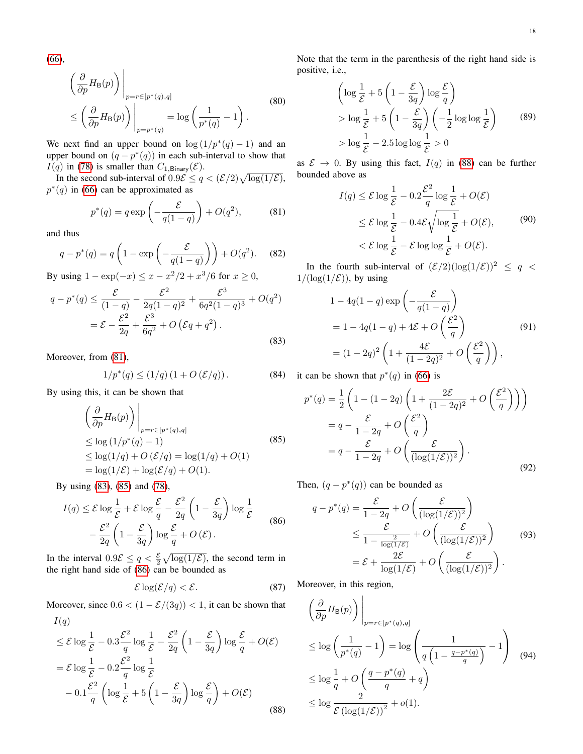[\(66\)](#page-17-1),

$$
\left(\frac{\partial}{\partial p} H_{\mathsf{B}}(p)\right)\Big|_{p=r\in[p^*(q),q]}
$$
\n
$$
\leq \left(\frac{\partial}{\partial p} H_{\mathsf{B}}(p)\right)\Big|_{p=p^*(q)} = \log\left(\frac{1}{p^*(q)} - 1\right).
$$
\n(80)

We next find an upper bound on  $\log(1/p^*(q) - 1)$  and an upper bound on  $(q - p^*(q))$  in each sub-interval to show that  $I(q)$  in [\(78\)](#page-17-3) is smaller than  $C_{1,\text{Binary}}(\mathcal{E})$ .

In the second sub-interval of  $0.9\mathcal{E} \le q < (\mathcal{E}/2)\sqrt{\log(1/\mathcal{E})}$ ,  $p^*(q)$  in [\(66\)](#page-17-1) can be approximated as

$$
p^*(q) = q \exp\left(-\frac{\mathcal{E}}{q(1-q)}\right) + O(q^2),\tag{81}
$$

<span id="page-18-0"></span>and thus

$$
q - p^*(q) = q\left(1 - \exp\left(-\frac{\mathcal{E}}{q(1-q)}\right)\right) + O(q^2). \tag{82}
$$

By using  $1 - \exp(-x) \le x - x^2/2 + x^3/6$  for  $x \ge 0$ ,

<span id="page-18-1"></span>
$$
q - p^*(q) \le \frac{\mathcal{E}}{(1-q)} - \frac{\mathcal{E}^2}{2q(1-q)^2} + \frac{\mathcal{E}^3}{6q^2(1-q)^3} + O(q^2)
$$
  
=  $\mathcal{E} - \frac{\mathcal{E}^2}{2q} + \frac{\mathcal{E}^3}{6q^2} + O(\mathcal{E}q + q^2)$ . (83)

Moreover, from [\(81\)](#page-18-0),

$$
1/p^*(q) \le (1/q) (1 + O(\mathcal{E}/q)). \tag{84}
$$

<span id="page-18-2"></span>By using this, it can be shown that

$$
\left(\frac{\partial}{\partial p}H_{\mathsf{B}}(p)\right)\Big|_{p=r\in[p^*(q),q]}
$$
  
\n
$$
\leq \log(1/p^*(q)-1)
$$
  
\n
$$
\leq \log(1/q) + O(\mathcal{E}/q) = \log(1/q) + O(1)
$$
  
\n
$$
= \log(1/\mathcal{E}) + \log(\mathcal{E}/q) + O(1).
$$
\n(85)

By using [\(83\)](#page-18-1), [\(85\)](#page-18-2) and [\(78\)](#page-17-3),

<span id="page-18-3"></span>
$$
I(q) \leq \mathcal{E} \log \frac{1}{\mathcal{E}} + \mathcal{E} \log \frac{\mathcal{E}}{q} - \frac{\mathcal{E}^2}{2q} \left( 1 - \frac{\mathcal{E}}{3q} \right) \log \frac{1}{\mathcal{E}}
$$

$$
- \frac{\mathcal{E}^2}{2q} \left( 1 - \frac{\mathcal{E}}{3q} \right) \log \frac{\mathcal{E}}{q} + O\left(\mathcal{E}\right). \tag{86}
$$

In the interval  $0.9\mathcal{E} \le q < \frac{\mathcal{E}}{2} \sqrt{\log(1/\mathcal{E})}$ , the second term in the right hand side of [\(86\)](#page-18-3) can be bounded as

$$
\mathcal{E}\log(\mathcal{E}/q) < \mathcal{E}.\tag{87}
$$

Moreover, since  $0.6 < (1 - \mathcal{E}/(3q)) < 1$ , it can be shown that  $I(q)$ 

<span id="page-18-4"></span>
$$
\leq \mathcal{E} \log \frac{1}{\mathcal{E}} - 0.3 \frac{\mathcal{E}^2}{q} \log \frac{1}{\mathcal{E}} - \frac{\mathcal{E}^2}{2q} \left( 1 - \frac{\mathcal{E}}{3q} \right) \log \frac{\mathcal{E}}{q} + O(\mathcal{E})
$$
  
=  $\mathcal{E} \log \frac{1}{\mathcal{E}} - 0.2 \frac{\mathcal{E}^2}{q} \log \frac{1}{\mathcal{E}}$   
 $- 0.1 \frac{\mathcal{E}^2}{q} \left( \log \frac{1}{\mathcal{E}} + 5 \left( 1 - \frac{\mathcal{E}}{3q} \right) \log \frac{\mathcal{E}}{q} \right) + O(\mathcal{E})$  (88)

Note that the term in the parenthesis of the right hand side is positive, i.e.,

$$
\left(\log \frac{1}{\mathcal{E}} + 5\left(1 - \frac{\mathcal{E}}{3q}\right) \log \frac{\mathcal{E}}{q}\right)
$$
  
> 
$$
\log \frac{1}{\mathcal{E}} + 5\left(1 - \frac{\mathcal{E}}{3q}\right)\left(-\frac{1}{2}\log \log \frac{1}{\mathcal{E}}\right)
$$
  
> 
$$
\log \frac{1}{\mathcal{E}} - 2.5 \log \log \frac{1}{\mathcal{E}} > 0
$$
 (89)

as  $\mathcal{E} \rightarrow 0$ . By using this fact,  $I(q)$  in [\(88\)](#page-18-4) can be further bounded above as

$$
I(q) \leq \mathcal{E} \log \frac{1}{\mathcal{E}} - 0.2 \frac{\mathcal{E}^2}{q} \log \frac{1}{\mathcal{E}} + O(\mathcal{E})
$$
  

$$
\leq \mathcal{E} \log \frac{1}{\mathcal{E}} - 0.4 \mathcal{E} \sqrt{\log \frac{1}{\mathcal{E}}} + O(\mathcal{E}), \qquad (90)
$$
  

$$
< \mathcal{E} \log \frac{1}{\mathcal{E}} - \mathcal{E} \log \log \frac{1}{\mathcal{E}} + O(\mathcal{E}).
$$

In the fourth sub-interval of  $(\mathcal{E}/2)(\log(1/\mathcal{E}))^2 \leq q <$  $1/(\log(1/\mathcal{E}))$ , by using

$$
1 - 4q(1 - q) \exp\left(-\frac{\mathcal{E}}{q(1 - q)}\right)
$$
  
= 1 - 4q(1 - q) + 4\mathcal{E} + O\left(\frac{\mathcal{E}^2}{q}\right) (91)  
= (1 - 2q)^2 \left(1 + \frac{4\mathcal{E}}{(1 - 2q)^2} + O\left(\frac{\mathcal{E}^2}{q}\right)\right),

it can be shown that  $p^*(q)$  in [\(66\)](#page-17-1) is

$$
p^*(q) = \frac{1}{2} \left( 1 - (1 - 2q) \left( 1 + \frac{2\mathcal{E}}{(1 - 2q)^2} + O\left(\frac{\mathcal{E}^2}{q}\right) \right) \right)
$$
  
=  $q - \frac{\mathcal{E}}{1 - 2q} + O\left(\frac{\mathcal{E}^2}{q}\right)$   
=  $q - \frac{\mathcal{E}}{1 - 2q} + O\left(\frac{\mathcal{E}}{(\log(1/\mathcal{E}))^2}\right).$  (92)

Then,  $(q - p^*(q))$  can be bounded as

<span id="page-18-5"></span>
$$
q - p^*(q) = \frac{\mathcal{E}}{1 - 2q} + O\left(\frac{\mathcal{E}}{(\log(1/\mathcal{E}))^2}\right)
$$
  
\n
$$
\leq \frac{\mathcal{E}}{1 - \frac{2}{\log(1/\mathcal{E})}} + O\left(\frac{\mathcal{E}}{(\log(1/\mathcal{E}))^2}\right)
$$
(93)  
\n
$$
= \mathcal{E} + \frac{2\mathcal{E}}{\log(1/\mathcal{E})} + O\left(\frac{\mathcal{E}}{(\log(1/\mathcal{E}))^2}\right).
$$

Moreover, in this region,

<span id="page-18-6"></span>
$$
\left(\frac{\partial}{\partial p} H_{\mathsf{B}}(p)\right)\Big|_{p=r\in[p^*(q),q]}
$$
\n
$$
\leq \log\left(\frac{1}{p^*(q)}-1\right) = \log\left(\frac{1}{q\left(1-\frac{q-p^*(q)}{q}\right)}-1\right) \quad (94)
$$
\n
$$
\leq \log\frac{1}{q} + O\left(\frac{q-p^*(q)}{q}+q\right)
$$
\n
$$
\leq \log\frac{2}{\mathcal{E}\left(\log(1/\mathcal{E})\right)^2} + o(1).
$$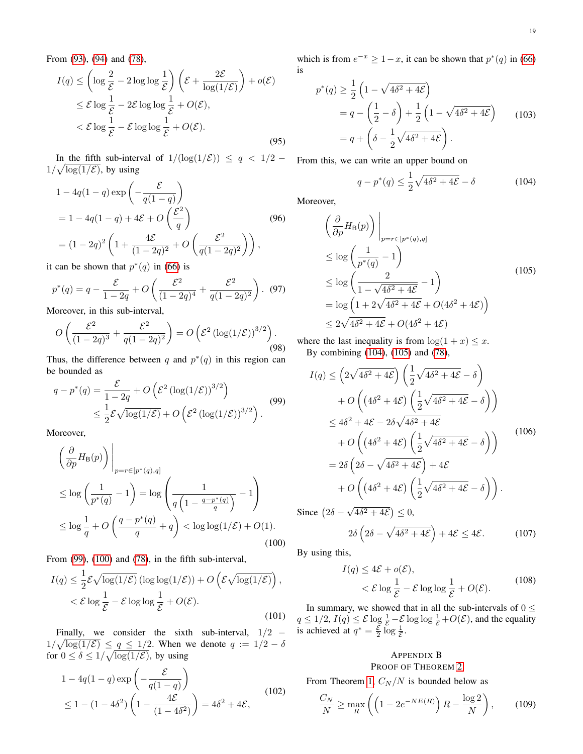From [\(93\)](#page-18-5), [\(94\)](#page-18-6) and [\(78\)](#page-17-3),

$$
I(q) \le \left(\log \frac{2}{\mathcal{E}} - 2\log \log \frac{1}{\mathcal{E}}\right) \left(\mathcal{E} + \frac{2\mathcal{E}}{\log(1/\mathcal{E})}\right) + o(\mathcal{E})
$$
  

$$
\le \mathcal{E} \log \frac{1}{\mathcal{E}} - 2\mathcal{E} \log \log \frac{1}{\mathcal{E}} + O(\mathcal{E}),
$$
  

$$
< \mathcal{E} \log \frac{1}{\mathcal{E}} - \mathcal{E} \log \log \frac{1}{\mathcal{E}} + O(\mathcal{E}).
$$
 (95)

In the fifth sub-interval of  $1/(\log(1/\mathcal{E})) \leq q < 1/2$  –  $1/\sqrt{\log(1/\mathcal{E})}$ , by using

$$
1 - 4q(1 - q) \exp\left(-\frac{\mathcal{E}}{q(1 - q)}\right)
$$
  
= 1 - 4q(1 - q) + 4\mathcal{E} + O\left(\frac{\mathcal{E}^2}{q}\right) (96)  
= (1 - 2q)^2 \left(1 + \frac{4\mathcal{E}}{(1 - 2q)^2} + O\left(\frac{\mathcal{E}^2}{q(1 - 2q)^2}\right)\right),

it can be shown that  $p^*(q)$  in [\(66\)](#page-17-1) is

$$
p^*(q) = q - \frac{\mathcal{E}}{1 - 2q} + O\left(\frac{\mathcal{E}^2}{(1 - 2q)^4} + \frac{\mathcal{E}^2}{q(1 - 2q)^2}\right).
$$
 (97)

Moreover, in this sub-interval,

$$
O\left(\frac{\mathcal{E}^2}{(1-2q)^3} + \frac{\mathcal{E}^2}{q(1-2q)^2}\right) = O\left(\mathcal{E}^2 \left(\log(1/\mathcal{E})\right)^{3/2}\right).
$$
\n(98)

Thus, the difference between q and  $p^*(q)$  in this region can be bounded as

<span id="page-19-1"></span>
$$
q - p^*(q) = \frac{\mathcal{E}}{1 - 2q} + O\left(\mathcal{E}^2 \left(\log(1/\mathcal{E})\right)^{3/2}\right)
$$
  
\$\leq \frac{1}{2}\mathcal{E}\sqrt{\log(1/\mathcal{E})} + O\left(\mathcal{E}^2 \left(\log(1/\mathcal{E})\right)^{3/2}\right).\$ (99)

Moreover,

<span id="page-19-2"></span>
$$
\left(\frac{\partial}{\partial p}H_{\mathsf{B}}(p)\right)\Big|_{p=r\in[p^*(q),q]}
$$
\n
$$
\leq \log\left(\frac{1}{p^*(q)}-1\right) = \log\left(\frac{1}{q\left(1-\frac{q-p^*(q)}{q}\right)}-1\right)
$$
\n
$$
\leq \log\frac{1}{q} + O\left(\frac{q-p^*(q)}{q}+q\right) < \log\log(1/\mathcal{E}) + O(1).
$$
\n(100)

From [\(99\)](#page-19-1), [\(100\)](#page-19-2) and [\(78\)](#page-17-3), in the fifth sub-interval,

$$
I(q) \leq \frac{1}{2} \mathcal{E} \sqrt{\log(1/\mathcal{E})} \left( \log \log(1/\mathcal{E}) \right) + O\left( \mathcal{E} \sqrt{\log(1/\mathcal{E})} \right),
$$
  

$$
< \mathcal{E} \log \frac{1}{\mathcal{E}} - \mathcal{E} \log \log \frac{1}{\mathcal{E}} + O(\mathcal{E}).
$$
 (101)

Finally, we consider the sixth sub-interval,  $1/2$  −  $1/\sqrt{\log(1/\mathcal{E})} \leq \underline{q} \leq 1/2$ . When we denote  $q := 1/2 - \delta$ for  $0 \le \delta \le 1/\sqrt{\log(1/\mathcal{E})}$ , by using

$$
1 - 4q(1-q)\exp\left(-\frac{\mathcal{E}}{q(1-q)}\right)
$$
  
 
$$
\leq 1 - (1 - 4\delta^2)\left(1 - \frac{4\mathcal{E}}{(1 - 4\delta^2)}\right) = 4\delta^2 + 4\mathcal{E},
$$
 (102)

which is from  $e^{-x} \ge 1-x$ , it can be shown that  $p^*(q)$  in [\(66\)](#page-17-1) is

$$
p^*(q) \ge \frac{1}{2} \left( 1 - \sqrt{4\delta^2 + 4\mathcal{E}} \right)
$$
  
=  $q - \left( \frac{1}{2} - \delta \right) + \frac{1}{2} \left( 1 - \sqrt{4\delta^2 + 4\mathcal{E}} \right)$  (103)  
=  $q + \left( \delta - \frac{1}{2} \sqrt{4\delta^2 + 4\mathcal{E}} \right).$ 

From this, we can write an upper bound on

<span id="page-19-3"></span>
$$
q - p^*(q) \le \frac{1}{2}\sqrt{4\delta^2 + 4\mathcal{E}} - \delta \tag{104}
$$

Moreover,

<span id="page-19-4"></span>
$$
\left(\frac{\partial}{\partial p} H_{\mathsf{B}}(p)\right)\Big|_{p=r\in[p^*(q),q]}
$$
\n
$$
\leq \log\left(\frac{1}{p^*(q)}-1\right)
$$
\n
$$
\leq \log\left(\frac{2}{1-\sqrt{4\delta^2+4\mathcal{E}}}-1\right)
$$
\n
$$
= \log\left(1+2\sqrt{4\delta^2+4\mathcal{E}}+O(4\delta^2+4\mathcal{E})\right)
$$
\n
$$
\leq 2\sqrt{4\delta^2+4\mathcal{E}}+O(4\delta^2+4\mathcal{E})
$$
\n(105)

where the last inequality is from  $\log(1 + x) \leq x$ . By combining [\(104\)](#page-19-3), [\(105\)](#page-19-4) and [\(78\)](#page-17-3),

$$
I(q) \leq \left(2\sqrt{4\delta^2 + 4\mathcal{E}}\right) \left(\frac{1}{2}\sqrt{4\delta^2 + 4\mathcal{E}} - \delta\right)
$$
  
+  $O\left((4\delta^2 + 4\mathcal{E})\left(\frac{1}{2}\sqrt{4\delta^2 + 4\mathcal{E}} - \delta\right)\right)$   
 $\leq 4\delta^2 + 4\mathcal{E} - 2\delta\sqrt{4\delta^2 + 4\mathcal{E}}$   
+  $O\left((4\delta^2 + 4\mathcal{E})\left(\frac{1}{2}\sqrt{4\delta^2 + 4\mathcal{E}} - \delta\right)\right)$   
=  $2\delta\left(2\delta - \sqrt{4\delta^2 + 4\mathcal{E}}\right) + 4\mathcal{E}$   
+  $O\left((4\delta^2 + 4\mathcal{E})\left(\frac{1}{2}\sqrt{4\delta^2 + 4\mathcal{E}} - \delta\right)\right)$ .  
Since  $(2\delta - \sqrt{4\delta^2 + 4\mathcal{E}}) \leq 0$ ,

Since 
$$
(2\delta - \sqrt{4\delta^2 + 4\mathcal{E}}) \le 0
$$
,  
\n $2\delta (2\delta - \sqrt{4\delta^2 + 4\mathcal{E}}) + 4\mathcal{E} \le 4\mathcal{E}$ . (107)

By using this,

$$
I(q) \le 4\mathcal{E} + o(\mathcal{E}),
$$
  

$$
< \mathcal{E} \log \frac{1}{\mathcal{E}} - \mathcal{E} \log \log \frac{1}{\mathcal{E}} + O(\mathcal{E}).
$$
 (108)

In summary, we showed that in all the sub-intervals of  $0 \le$  $q \le 1/2$ ,  $I(q) \le \mathcal{E} \log \frac{1}{\mathcal{E}} - \mathcal{E} \log \log \frac{1}{\mathcal{E}} + O(\mathcal{E})$ , and the equality is achieved at  $q^* = \frac{\mathcal{E}}{2} \log \frac{1}{\mathcal{E}}$ .

#### <span id="page-19-0"></span>APPENDIX B PROOF OF THEOREM [2](#page-10-4)

From Theorem [1,](#page-9-5)  $C_N/N$  is bounded below as

<span id="page-19-5"></span>
$$
\frac{C_N}{N} \ge \max_R \left( \left( 1 - 2e^{-NE(R)} \right) R - \frac{\log 2}{N} \right),\tag{109}
$$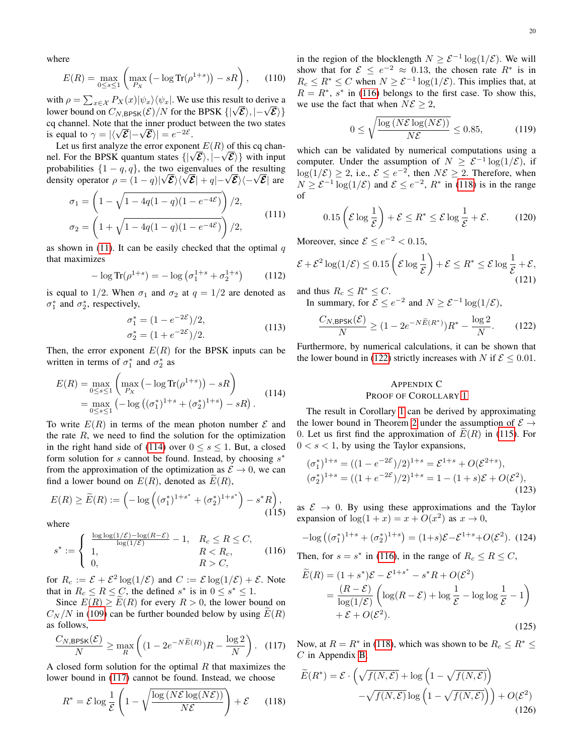where

$$
E(R) = \max_{0 \le s \le 1} \left( \max_{P_X} \left( -\log \text{Tr}(\rho^{1+s}) \right) - sR \right), \quad (110)
$$

with  $\rho = \sum_{x \in \mathcal{X}} P_X(x) |\psi_x\rangle \langle \psi_x|$ . We use this result to derive a lower bound on  $C_{N, \text{BPSK}}(\mathcal{E})/N$  for the BPSK  $\{|\sqrt{\mathcal{E}}\rangle, |-\sqrt{\mathcal{E}}\rangle\}$ cq channel. Note that the inner product between the two states is equal to  $\gamma = |\langle \sqrt{\mathcal{E}} | - \sqrt{\mathcal{E}} \rangle| = e^{-2\mathcal{E}}$ .

Let us first analyze the error exponent  $E(R)$  of this cq channel. For the BPSK quantum states  $\{|\sqrt{\mathcal{E}}\rangle, |-\sqrt{\mathcal{E}}\rangle\}$  with input probabilities  $\{1-q, q\}$ , the two eigenvalues of the resulting density operator  $\rho = (1 - q)|\sqrt{\mathcal{E}}\rangle\langle\sqrt{\mathcal{E}}| + q| - \sqrt{\mathcal{E}}\rangle\langle-\sqrt{\mathcal{E}}|$  are

$$
\sigma_1 = \left(1 - \sqrt{1 - 4q(1 - q)(1 - e^{-4\mathcal{E}})}\right)/2,
$$
  
\n
$$
\sigma_2 = \left(1 + \sqrt{1 - 4q(1 - q)(1 - e^{-4\mathcal{E}})}\right)/2,
$$
\n(111)

as shown in [\(11\)](#page-8-6). It can be easily checked that the optimal  $q$ that maximizes

$$
-\log \text{Tr}(\rho^{1+s}) = -\log \left(\sigma_1^{1+s} + \sigma_2^{1+s}\right) \tag{112}
$$

is equal to 1/2. When  $\sigma_1$  and  $\sigma_2$  at  $q = 1/2$  are denoted as  $\sigma_1^*$  and  $\sigma_2^*$ , respectively,

$$
\sigma_1^* = (1 - e^{-2\mathcal{E}})/2,
$$
  
\n
$$
\sigma_2^* = (1 + e^{-2\mathcal{E}})/2.
$$
\n(113)

Then, the error exponent  $E(R)$  for the BPSK inputs can be written in terms of  $\sigma_1^*$  and  $\sigma_2^*$  as

<span id="page-20-1"></span>
$$
E(R) = \max_{0 \le s \le 1} \left( \max_{P_X} \left( -\log \text{Tr}(\rho^{1+s}) \right) - sR \right)
$$
  
= 
$$
\max_{0 \le s \le 1} \left( -\log \left( (\sigma_1^*)^{1+s} + (\sigma_2^*)^{1+s} \right) - sR \right).
$$
 (114)

To write  $E(R)$  in terms of the mean photon number  $\mathcal E$  and the rate  $R$ , we need to find the solution for the optimization in the right hand side of [\(114\)](#page-20-1) over  $0 \le s \le 1$ . But, a closed form solution for s cannot be found. Instead, by choosing  $s^*$ from the approximation of the optimization as  $\mathcal{E} \to 0$ , we can find a lower bound on  $E(R)$ , denoted as  $E(R)$ ,

<span id="page-20-6"></span>
$$
E(R) \ge \widetilde{E}(R) := \left( -\log \left( (\sigma_1^*)^{1+s^*} + (\sigma_2^*)^{1+s^*} \right) - s^* R \right),\tag{115}
$$

where

<span id="page-20-3"></span>
$$
s^* := \begin{cases} \frac{\log \log(1/\mathcal{E}) - \log(R - \mathcal{E})}{\log(1/\mathcal{E})} - 1, & R_c \le R \le C, \\ 1, & R < R_c, \\ 0, & R > C, \end{cases} \tag{116}
$$

for  $R_c := \mathcal{E} + \mathcal{E}^2 \log(1/\mathcal{E})$  and  $C := \mathcal{E} \log(1/\mathcal{E}) + \mathcal{E}$ . Note that in  $R_c \le R \le C$ , the defined  $s^*$  is in  $0 \le s^* \le 1$ .

Since  $E(R) \ge E(R)$  for every  $R > 0$ , the lower bound on  $C_N/N$  in [\(109\)](#page-19-5) can be further bounded below by using  $E(R)$ as follows,

<span id="page-20-2"></span>
$$
\frac{C_{N,\text{BPSK}}(\mathcal{E})}{N} \ge \max_{R} \left( (1 - 2e^{-N\widetilde{E}(R)})R - \frac{\log 2}{N} \right). \tag{117}
$$

A closed form solution for the optimal  $R$  that maximizes the lower bound in [\(117\)](#page-20-2) cannot be found. Instead, we choose

<span id="page-20-4"></span>
$$
R^* = \mathcal{E} \log \frac{1}{\mathcal{E}} \left( 1 - \sqrt{\frac{\log (N\mathcal{E} \log(N\mathcal{E}))}{N\mathcal{E}}} \right) + \mathcal{E}
$$
 (118)

in the region of the blocklength  $N \geq \mathcal{E}^{-1} \log(1/\mathcal{E})$ . We will show that for  $\mathcal{E} \leq e^{-2} \approx 0.13$ , the chosen rate  $R^*$  is in  $R_c \le R^* \le C$  when  $N \ge \mathcal{E}^{-1} \log(1/\mathcal{E})$ . This implies that, at  $R = R^*$ , s<sup>\*</sup> in [\(116\)](#page-20-3) belongs to the first case. To show this, we use the fact that when  $N\mathcal{E} \geq 2$ ,

$$
0 \le \sqrt{\frac{\log\left(N\mathcal{E}\log(N\mathcal{E})\right)}{N\mathcal{E}}} \le 0.85,\tag{119}
$$

which can be validated by numerical computations using a computer. Under the assumption of  $N \geq \mathcal{E}^{-1} \log(1/\mathcal{E})$ , if  $\log(1/\mathcal{E}) \geq 2$ , i.e.,  $\mathcal{E} \leq e^{-2}$ , then  $N\mathcal{E} \geq 2$ . Therefore, when  $N \geq \mathcal{E}^{-1} \log(1/\mathcal{E})$  and  $\mathcal{E} \leq e^{-2}$ ,  $R^*$  in [\(118\)](#page-20-4) is in the range of

$$
0.15\left(\mathcal{E}\log\frac{1}{\mathcal{E}}\right) + \mathcal{E} \le R^* \le \mathcal{E}\log\frac{1}{\mathcal{E}} + \mathcal{E}.\tag{120}
$$

Moreover, since  $\mathcal{E} \le e^{-2} < 0.15$ ,

$$
\mathcal{E} + \mathcal{E}^2 \log(1/\mathcal{E}) \le 0.15 \left( \mathcal{E} \log \frac{1}{\mathcal{E}} \right) + \mathcal{E} \le R^* \le \mathcal{E} \log \frac{1}{\mathcal{E}} + \mathcal{E},\tag{121}
$$

and thus  $R_c \leq R^* \leq C$ . In summary, for  $\mathcal{E} \le e^{-2}$  and  $N \ge \mathcal{E}^{-1} \log(1/\mathcal{E}),$ 

<span id="page-20-5"></span> $C_{N,\mathsf{BPSK}}(\mathcal{E})$  $\frac{\text{PSK}(\mathcal{E})}{N} \geq (1 - 2e^{-N\widetilde{E}(R^*)})R^* - \frac{\log 2}{N}$ N  $(122)$ 

Furthermore, by numerical calculations, it can be shown that the lower bound in [\(122\)](#page-20-5) strictly increases with N if  $\mathcal{E} \leq 0.01$ .

#### <span id="page-20-0"></span>APPENDIX C PROOF OF COROLLARY [1](#page-10-5)

The result in Corollary [1](#page-10-5) can be derived by approximating the lower bound in Theorem [2](#page-10-4) under the assumption of  $\mathcal{E} \rightarrow$ 0. Let us first find the approximation of  $E(R)$  in [\(115\)](#page-20-6). For  $0 < s < 1$ , by using the Taylor expansions,

$$
(\sigma_1^*)^{1+s} = ((1 - e^{-2\mathcal{E}})/2)^{1+s} = \mathcal{E}^{1+s} + O(\mathcal{E}^{2+s}),
$$
  
\n
$$
(\sigma_2^*)^{1+s} = ((1 + e^{-2\mathcal{E}})/2)^{1+s} = 1 - (1+s)\mathcal{E} + O(\mathcal{E}^2),
$$
\n(123)

as  $\mathcal{E} \rightarrow 0$ . By using these approximations and the Taylor expansion of  $log(1+x) = x + O(x^2)$  as  $x \to 0$ ,

$$
-\log ((\sigma_1^*)^{1+s} + (\sigma_2^*)^{1+s}) = (1+s)\mathcal{E} - \mathcal{E}^{1+s} + O(\mathcal{E}^2). \tag{124}
$$

Then, for  $s = s^*$  in [\(116\)](#page-20-3), in the range of  $R_c \le R \le C$ ,

$$
\widetilde{E}(R) = (1 + s^*)\mathcal{E} - \mathcal{E}^{1+s^*} - s^*R + O(\mathcal{E}^2)
$$
\n
$$
= \frac{(R - \mathcal{E})}{\log(1/\mathcal{E})} \left( \log(R - \mathcal{E}) + \log \frac{1}{\mathcal{E}} - \log \log \frac{1}{\mathcal{E}} - 1 \right)
$$
\n
$$
+ \mathcal{E} + O(\mathcal{E}^2). \tag{125}
$$

Now, at  $R = R^*$  in [\(118\)](#page-20-4), which was shown to be  $R_c \le R^* \le$  $C$  in Appendix [B,](#page-19-0)

<span id="page-20-7"></span>
$$
\widetilde{E}(R^*) = \mathcal{E} \cdot \left( \sqrt{f(N, \mathcal{E})} + \log \left( 1 - \sqrt{f(N, \mathcal{E})} \right) - \sqrt{f(N, \mathcal{E})} \log \left( 1 - \sqrt{f(N, \mathcal{E})} \right) \right) + O(\mathcal{E}^2) \tag{126}
$$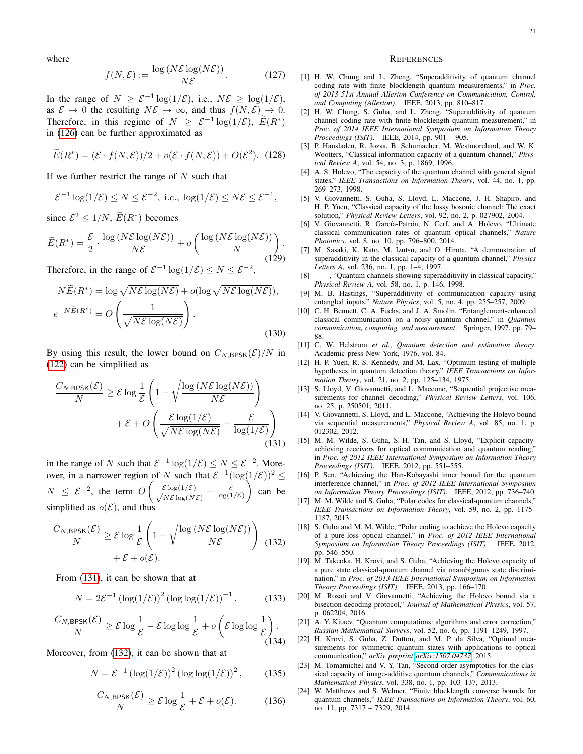where

$$
f(N,\mathcal{E}) := \frac{\log(N\mathcal{E}\log(N\mathcal{E}))}{N\mathcal{E}}.
$$
 (127)

In the range of  $N \geq \mathcal{E}^{-1} \log(1/\mathcal{E})$ , i.e.,  $N\mathcal{E} \geq \log(1/\mathcal{E})$ , as  $\mathcal{E} \to 0$  the resulting  $N\mathcal{E} \to \infty$ , and thus  $f(N, \mathcal{E}) \to 0$ . Therefore, in this regime of  $N \geq \mathcal{E}^{-1} \log(1/\mathcal{E})$ ,  $E(R^*)$ in [\(126\)](#page-20-7) can be further approximated as

$$
\widetilde{E}(R^*) = (\mathcal{E} \cdot f(N, \mathcal{E}))/2 + o(\mathcal{E} \cdot f(N, \mathcal{E})) + O(\mathcal{E}^2).
$$
 (128)

If we further restrict the range of  $N$  such that

$$
\mathcal{E}^{-1}\log(1/\mathcal{E}) \leq N \leq \mathcal{E}^{-2}, \text{ i.e., } \log(1/\mathcal{E}) \leq N\mathcal{E} \leq \mathcal{E}^{-1},
$$

since  $\mathcal{E}^2 \leq 1/N$ ,  $\widetilde{E}(R^*)$  becomes

$$
\widetilde{E}(R^*) = \frac{\mathcal{E}}{2} \cdot \frac{\log (N\mathcal{E}\log(N\mathcal{E}))}{N\mathcal{E}} + o\left(\frac{\log (N\mathcal{E}\log(N\mathcal{E}))}{N}\right).
$$
\n(129)

Therefore, in the range of  $\mathcal{E}^{-1} \log(1/\mathcal{E}) \leq N \leq \mathcal{E}^{-2}$ ,

$$
N\widetilde{E}(R^*) = \log \sqrt{N\mathcal{E}\log(N\mathcal{E})} + o(\log \sqrt{N\mathcal{E}\log(N\mathcal{E})}),
$$
  

$$
e^{-N\widetilde{E}(R^*)} = O\left(\frac{1}{\sqrt{N\mathcal{E}\log(N\mathcal{E})}}\right).
$$
(130)

By using this result, the lower bound on  $C_{N, BPSK}(\mathcal{E})/N$  in [\(122\)](#page-20-5) can be simplified as

<span id="page-21-24"></span>
$$
\frac{C_{N,\text{BPSK}}(\mathcal{E})}{N} \ge \mathcal{E} \log \frac{1}{\mathcal{E}} \left( 1 - \sqrt{\frac{\log (N\mathcal{E}\log(N\mathcal{E}))}{N\mathcal{E}}} \right) + \mathcal{E} + O\left( \frac{\mathcal{E}\log(1/\mathcal{E})}{\sqrt{N\mathcal{E}\log(N\mathcal{E})}} + \frac{\mathcal{E}}{\log(1/\mathcal{E})} \right)
$$
(131)

in the range of N such that  $\mathcal{E}^{-1} \log(1/\mathcal{E}) \leq N \leq \mathcal{E}^{-2}$ . Moreover, in a narrower region of N such that  $\mathcal{E}^{-1}(\log(1/\mathcal{E}))^2 \leq$  $N \leq \mathcal{E}^{-2}$ , the term  $O\left(\frac{1}{\sqrt{2}}\right)$  $\frac{\mathcal{E} \log(1/\mathcal{E})}{\sqrt{N\mathcal{E} \log(N)}}$  $\frac{\varepsilon \log(1/\varepsilon)}{N\varepsilon \log(N\varepsilon)} + \frac{\varepsilon}{\log(1/\varepsilon)}$  $\Big)$  can be simplified as  $o(\mathcal{E})$ , and thus

<span id="page-21-25"></span>
$$
\frac{C_{N,BPSK}(\mathcal{E})}{N} \ge \mathcal{E} \log \frac{1}{\mathcal{E}} \left( 1 - \sqrt{\frac{\log (N\mathcal{E} \log(N\mathcal{E}))}{N\mathcal{E}}} \right) \tag{132} (132)
$$

$$
+ \mathcal{E} + o(\mathcal{E}).
$$

From [\(131\)](#page-21-24), it can be shown that at

$$
N = 2\mathcal{E}^{-1} \left( \log(1/\mathcal{E}) \right)^2 \left( \log \log(1/\mathcal{E}) \right)^{-1},\tag{133}
$$

$$
\frac{C_{N,\text{BPSK}}(\mathcal{E})}{N} \ge \mathcal{E} \log \frac{1}{\mathcal{E}} - \mathcal{E} \log \log \frac{1}{\mathcal{E}} + o\left(\mathcal{E} \log \log \frac{1}{\mathcal{E}}\right).
$$
\n(134)

Moreover, from [\(132\)](#page-21-25), it can be shown that at

$$
N = \mathcal{E}^{-1} \left( \log(1/\mathcal{E}) \right)^2 \left( \log \log(1/\mathcal{E}) \right)^2, \quad (135)
$$

$$
\frac{C_{N,\text{BPSK}}(\mathcal{E})}{N} \ge \mathcal{E} \log \frac{1}{\mathcal{E}} + \mathcal{E} + o(\mathcal{E}).\tag{136}
$$

#### **REFERENCES**

- <span id="page-21-4"></span>[1] H. W. Chung and L. Zheng, "Superadditivity of quantum channel coding rate with finite blocklength quantum measurements," in *Proc. of 2013 51st Annual Allerton Conference on Communication, Control, and Computing (Allerton)*. IEEE, 2013, pp. 810–817.
- <span id="page-21-5"></span>[2] H. W. Chung, S. Guha, and L. Zheng, "Superadditivity of quantum channel coding rate with finite blocklength quantum measurement," in *Proc. of 2014 IEEE International Symposium on Information Theory Proceedings (ISIT)*. IEEE, 2014, pp. 901 – 905.
- <span id="page-21-0"></span>[3] P. Hausladen, R. Jozsa, B. Schumacher, M. Westmoreland, and W. K. Wootters, "Classical information capacity of a quantum channel," *Physical Review A*, vol. 54, no. 3, p. 1869, 1996.
- <span id="page-21-1"></span>[4] A. S. Holevo, "The capacity of the quantum channel with general signal states," *IEEE Transactions on Information Theory*, vol. 44, no. 1, pp. 269–273, 1998.
- <span id="page-21-2"></span>[5] V. Giovannetti, S. Guha, S. Lloyd, L. Maccone, J. H. Shapiro, and H. P. Yuen, "Classical capacity of the lossy bosonic channel: The exact solution," *Physical Review Letters*, vol. 92, no. 2, p. 027902, 2004.
- <span id="page-21-3"></span>[6] V. Giovannetti, R. García-Patrón, N. Cerf, and A. Holevo, "Ultimate classical communication rates of quantum optical channels," *Nature Photonics*, vol. 8, no. 10, pp. 796–800, 2014.
- <span id="page-21-6"></span>[7] M. Sasaki, K. Kato, M. Izutsu, and O. Hirota, "A demonstration of superadditivity in the classical capacity of a quantum channel," *Physics Letters A*, vol. 236, no. 1, pp. 1–4, 1997.
- <span id="page-21-7"></span>-, "Quantum channels showing superadditivity in classical capacity," *Physical Review A*, vol. 58, no. 1, p. 146, 1998.
- <span id="page-21-8"></span>[9] M. B. Hastings, "Superadditivity of communication capacity using entangled inputs," *Nature Physics*, vol. 5, no. 4, pp. 255–257, 2009.
- <span id="page-21-9"></span>[10] C. H. Bennett, C. A. Fuchs, and J. A. Smolin, "Entanglement-enhanced classical communication on a noisy quantum channel," in *Quantum communication, computing, and measurement*. Springer, 1997, pp. 79– 88.
- <span id="page-21-10"></span>[11] C. W. Helstrom *et al.*, *Quantum detection and estimation theory*. Academic press New York, 1976, vol. 84.
- <span id="page-21-11"></span>[12] H. P. Yuen, R. S. Kennedy, and M. Lax, "Optimum testing of multiple hypotheses in quantum detection theory," *IEEE Transactions on Information Theory*, vol. 21, no. 2, pp. 125–134, 1975.
- <span id="page-21-12"></span>[13] S. Lloyd, V. Giovannetti, and L. Maccone, "Sequential projective measurements for channel decoding," *Physical Review Letters*, vol. 106, no. 25, p. 250501, 2011.
- <span id="page-21-13"></span>[14] V. Giovannetti, S. Lloyd, and L. Maccone, "Achieving the Holevo bound via sequential measurements," *Physical Review A*, vol. 85, no. 1, p. 012302, 2012.
- <span id="page-21-14"></span>[15] M. M. Wilde, S. Guha, S.-H. Tan, and S. Lloyd, "Explicit capacityachieving receivers for optical communication and quantum reading," in *Proc. of 2012 IEEE International Symposium on Information Theory Proceedings (ISIT)*. IEEE, 2012, pp. 551–555.
- <span id="page-21-15"></span>[16] P. Sen, "Achieving the Han-Kobayashi inner bound for the quantum interference channel," in *Proc. of 2012 IEEE International Symposium on Information Theory Proceedings (ISIT)*. IEEE, 2012, pp. 736–740.
- <span id="page-21-16"></span>[17] M. M. Wilde and S. Guha, "Polar codes for classical-quantum channels," *IEEE Transactions on Information Theory*, vol. 59, no. 2, pp. 1175– 1187, 2013.
- <span id="page-21-17"></span>[18] S. Guha and M. M. Wilde, "Polar coding to achieve the Holevo capacity of a pure-loss optical channel," in *Proc. of 2012 IEEE International Symposium on Information Theory Proceedings (ISIT)*. IEEE, 2012, pp. 546–550.
- <span id="page-21-18"></span>[19] M. Takeoka, H. Krovi, and S. Guha, "Achieving the Holevo capacity of a pure state classical-quantum channel via unambiguous state discrimination," in *Proc. of 2013 IEEE International Symposium on Information Theory Proceedings (ISIT)*. IEEE, 2013, pp. 166–170.
- <span id="page-21-19"></span>[20] M. Rosati and V. Giovannetti, "Achieving the Holevo bound via a bisection decoding protocol," *Journal of Mathematical Physics*, vol. 57, p. 062204, 2016.
- <span id="page-21-20"></span>[21] A. Y. Kitaev, "Quantum computations: algorithms and error correction," *Russian Mathematical Surveys*, vol. 52, no. 6, pp. 1191–1249, 1997.
- <span id="page-21-21"></span>[22] H. Krovi, S. Guha, Z. Dutton, and M. P. da Silva, "Optimal measurements for symmetric quantum states with applications to optical communication," *arXiv preprint [arXiv:1507.04737](http://arxiv.org/abs/1507.04737)*, 2015.
- <span id="page-21-22"></span>[23] M. Tomamichel and V. Y. Tan, "Second-order asymptotics for the classical capacity of image-additive quantum channels," *Communications in Mathematical Physics*, vol. 338, no. 1, pp. 103–137, 2013.
- <span id="page-21-23"></span>[24] W. Matthews and S. Wehner, "Finite blocklength converse bounds for quantum channels," *IEEE Transactions on Information Theory*, vol. 60, no. 11, pp. 7317 – 7329, 2014.